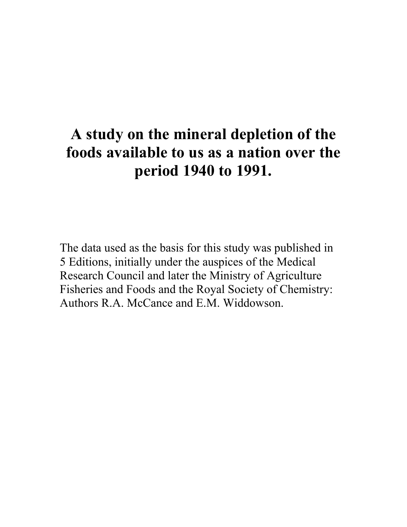# **A study on the mineral depletion of the foods available to us as a nation over the period 1940 to 1991.**

The data used as the basis for this study was published in 5 Editions, initially under the auspices of the Medical Research Council and later the Ministry of Agriculture Fisheries and Foods and the Royal Society of Chemistry: Authors R.A. McCance and E.M. Widdowson.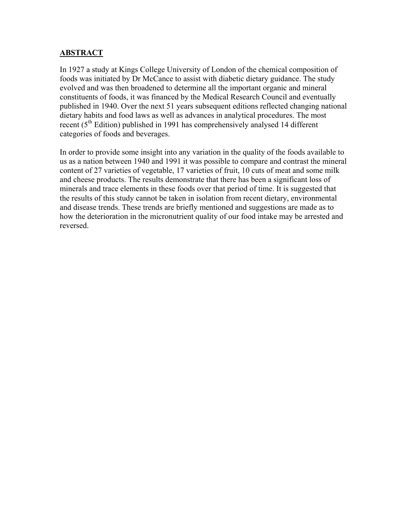#### **ABSTRACT**

In 1927 a study at Kings College University of London of the chemical composition of foods was initiated by Dr McCance to assist with diabetic dietary guidance. The study evolved and was then broadened to determine all the important organic and mineral constituents of foods, it was financed by the Medical Research Council and eventually published in 1940. Over the next 51 years subsequent editions reflected changing national dietary habits and food laws as well as advances in analytical procedures. The most recent  $(5<sup>th</sup> Edition)$  published in 1991 has comprehensively analysed 14 different categories of foods and beverages.

In order to provide some insight into any variation in the quality of the foods available to us as a nation between 1940 and 1991 it was possible to compare and contrast the mineral content of 27 varieties of vegetable, 17 varieties of fruit, 10 cuts of meat and some milk and cheese products. The results demonstrate that there has been a significant loss of minerals and trace elements in these foods over that period of time. It is suggested that the results of this study cannot be taken in isolation from recent dietary, environmental and disease trends. These trends are briefly mentioned and suggestions are made as to how the deterioration in the micronutrient quality of our food intake may be arrested and reversed.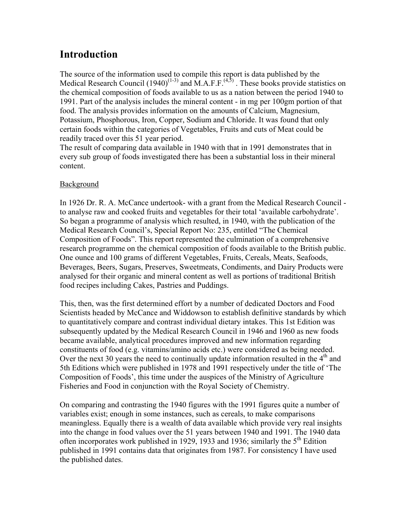# **Introduction**

The source of the information used to compile this report is data published by the Medical Research Council (1940)<sup>(1-3)</sup> and M.A.F.F.<sup>(4,5)</sup>. These books provide statistics on the chemical composition of foods available to us as a nation between the period 1940 to 1991. Part of the analysis includes the mineral content - in mg per 100gm portion of that food. The analysis provides information on the amounts of Calcium, Magnesium, Potassium, Phosphorous, Iron, Copper, Sodium and Chloride. It was found that only certain foods within the categories of Vegetables, Fruits and cuts of Meat could be readily traced over this 51 year period.

The result of comparing data available in 1940 with that in 1991 demonstrates that in every sub group of foods investigated there has been a substantial loss in their mineral content.

#### Background

In 1926 Dr. R. A. McCance undertook- with a grant from the Medical Research Council to analyse raw and cooked fruits and vegetables for their total 'available carbohydrate'. So began a programme of analysis which resulted, in 1940, with the publication of the Medical Research Council's, Special Report No: 235, entitled "The Chemical Composition of Foods". This report represented the culmination of a comprehensive research programme on the chemical composition of foods available to the British public. One ounce and 100 grams of different Vegetables, Fruits, Cereals, Meats, Seafoods, Beverages, Beers, Sugars, Preserves, Sweetmeats, Condiments, and Dairy Products were analysed for their organic and mineral content as well as portions of traditional British food recipes including Cakes, Pastries and Puddings.

This, then, was the first determined effort by a number of dedicated Doctors and Food Scientists headed by McCance and Widdowson to establish definitive standards by which to quantitatively compare and contrast individual dietary intakes. This 1st Edition was subsequently updated by the Medical Research Council in 1946 and 1960 as new foods became available, analytical procedures improved and new information regarding constituents of food (e.g. vitamins/amino acids etc.) were considered as being needed. Over the next 30 years the need to continually update information resulted in the  $4<sup>th</sup>$  and 5th Editions which were published in 1978 and 1991 respectively under the title of 'The Composition of Foods', this time under the auspices of the Ministry of Agriculture Fisheries and Food in conjunction with the Royal Society of Chemistry.

On comparing and contrasting the 1940 figures with the 1991 figures quite a number of variables exist; enough in some instances, such as cereals, to make comparisons meaningless. Equally there is a wealth of data available which provide very real insights into the change in food values over the 51 years between 1940 and 1991. The 1940 data often incorporates work published in 1929, 1933 and 1936; similarly the  $5<sup>th</sup>$  Edition published in 1991 contains data that originates from 1987. For consistency I have used the published dates.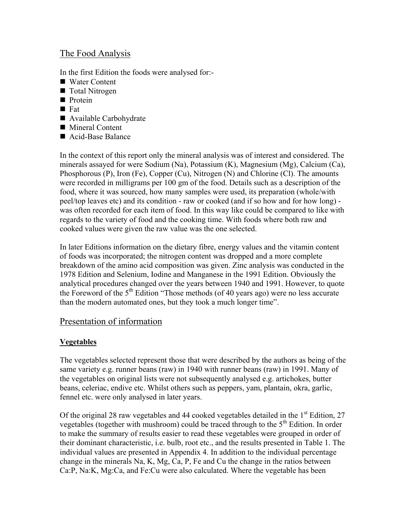### The Food Analysis

In the first Edition the foods were analysed for:-

- Water Content
- Total Nitrogen
- **Protein**
- $\blacksquare$  Fat
- Available Carbohydrate
- Mineral Content
- Acid-Base Balance

In the context of this report only the mineral analysis was of interest and considered. The minerals assayed for were Sodium (Na), Potassium (K), Magnesium (Mg), Calcium (Ca), Phosphorous (P), Iron (Fe), Copper (Cu), Nitrogen (N) and Chlorine (Cl). The amounts were recorded in milligrams per 100 gm of the food. Details such as a description of the food, where it was sourced, how many samples were used, its preparation (whole/with peel/top leaves etc) and its condition - raw or cooked (and if so how and for how long) was often recorded for each item of food. In this way like could be compared to like with regards to the variety of food and the cooking time. With foods where both raw and cooked values were given the raw value was the one selected.

In later Editions information on the dietary fibre, energy values and the vitamin content of foods was incorporated; the nitrogen content was dropped and a more complete breakdown of the amino acid composition was given. Zinc analysis was conducted in the 1978 Edition and Selenium, Iodine and Manganese in the 1991 Edition. Obviously the analytical procedures changed over the years between 1940 and 1991. However, to quote the Foreword of the  $5<sup>th</sup>$  Edition "Those methods (of 40 years ago) were no less accurate than the modern automated ones, but they took a much longer time".

### Presentation of information

### **Vegetables**

The vegetables selected represent those that were described by the authors as being of the same variety e.g. runner beans (raw) in 1940 with runner beans (raw) in 1991. Many of the vegetables on original lists were not subsequently analysed e.g. artichokes, butter beans, celeriac, endive etc. Whilst others such as peppers, yam, plantain, okra, garlic, fennel etc. were only analysed in later years.

Of the original 28 raw vegetables and 44 cooked vegetables detailed in the  $1<sup>st</sup>$  Edition, 27 vegetables (together with mushroom) could be traced through to the  $5<sup>th</sup>$  Edition. In order to make the summary of results easier to read these vegetables were grouped in order of their dominant characteristic, i.e. bulb, root etc., and the results presented in Table 1. The individual values are presented in Appendix 4. In addition to the individual percentage change in the minerals Na, K, Mg, Ca, P, Fe and Cu the change in the ratios between Ca:P, Na:K, Mg:Ca, and Fe:Cu were also calculated. Where the vegetable has been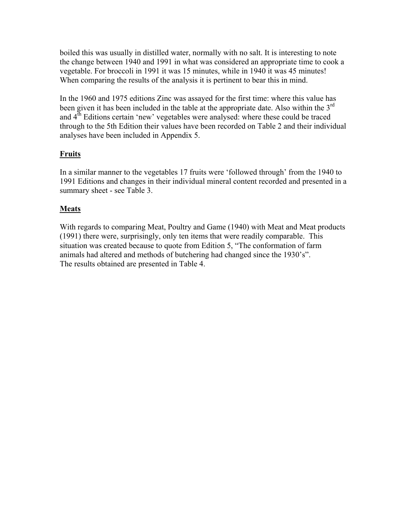boiled this was usually in distilled water, normally with no salt. It is interesting to note the change between 1940 and 1991 in what was considered an appropriate time to cook a vegetable. For broccoli in 1991 it was 15 minutes, while in 1940 it was 45 minutes! When comparing the results of the analysis it is pertinent to bear this in mind.

In the 1960 and 1975 editions Zinc was assayed for the first time: where this value has been given it has been included in the table at the appropriate date. Also within the 3<sup>rd</sup> and  $4^{\text{th}}$  Editions certain 'new' vegetables were analysed: where these could be traced through to the 5th Edition their values have been recorded on Table 2 and their individual analyses have been included in Appendix 5.

### **Fruits**

In a similar manner to the vegetables 17 fruits were 'followed through' from the 1940 to 1991 Editions and changes in their individual mineral content recorded and presented in a summary sheet - see Table 3.

#### **Meats**

With regards to comparing Meat, Poultry and Game (1940) with Meat and Meat products (1991) there were, surprisingly, only ten items that were readily comparable. This situation was created because to quote from Edition 5, "The conformation of farm animals had altered and methods of butchering had changed since the 1930's". The results obtained are presented in Table 4.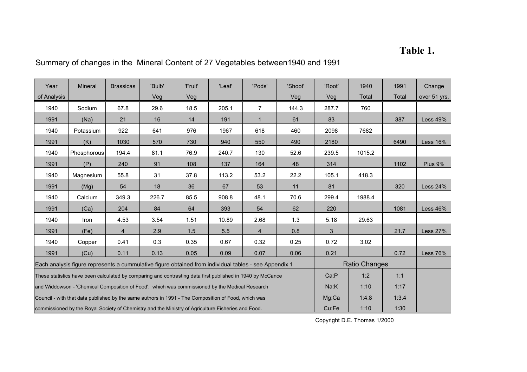# **Table 1.**

| Year        | <b>Mineral</b>                                                                                             | <b>Brassicas</b> | 'Bulb' | 'Fruit' | 'Leaf' | 'Pods'         | 'Shoot' | 'Root'       | 1940                 | 1991  | Change          |
|-------------|------------------------------------------------------------------------------------------------------------|------------------|--------|---------|--------|----------------|---------|--------------|----------------------|-------|-----------------|
| of Analysis |                                                                                                            |                  | Veg    | Veg     |        |                | Veg     | Veg          | Total                | Total | over 51 yrs.    |
| 1940        | Sodium                                                                                                     | 67.8             | 29.6   | 18.5    | 205.1  | $\overline{7}$ | 144.3   | 287.7        | 760                  |       |                 |
| 1991        | (Na)                                                                                                       | 21               | 16     | 14      | 191    | $\mathbf{1}$   | 61      | 83           |                      | 387   | <b>Less 49%</b> |
| 1940        | Potassium                                                                                                  | 922              | 641    | 976     | 1967   | 618            | 460     | 2098         | 7682                 |       |                 |
| 1991        | (K)                                                                                                        | 1030             | 570    | 730     | 940    | 550            | 490     | 2180         |                      | 6490  | <b>Less 16%</b> |
| 1940        | Phosphorous                                                                                                | 194.4            | 81.1   | 76.9    | 240.7  | 130            | 52.6    | 239.5        | 1015.2               |       |                 |
| 1991        | (P)                                                                                                        | 240              | 91     | 108     | 137    | 164            | 48      | 314          |                      | 1102  | Plus 9%         |
| 1940        | Magnesium                                                                                                  | 55.8             | 31     | 37.8    | 113.2  | 53.2           | 22.2    | 105.1        | 418.3                |       |                 |
| 1991        | (Mg)                                                                                                       | 54               | 18     | 36      | 67     | 53             | 11      | 81           |                      | 320   | <b>Less 24%</b> |
| 1940        | Calcium                                                                                                    | 349.3            | 226.7  | 85.5    | 908.8  | 48.1           | 70.6    | 299.4        | 1988.4               |       |                 |
| 1991        | (Ca)                                                                                                       | 204              | 84     | 64      | 393    | 54             | 62      | 220          |                      | 1081  | <b>Less 46%</b> |
| 1940        | Iron                                                                                                       | 4.53             | 3.54   | 1.51    | 10.89  | 2.68           | 1.3     | 5.18         | 29.63                |       |                 |
| 1991        | (Fe)                                                                                                       | $\overline{4}$   | 2.9    | 1.5     | 5.5    | $\overline{4}$ | 0.8     | $\mathbf{3}$ |                      | 21.7  | <b>Less 27%</b> |
| 1940        | Copper                                                                                                     | 0.41             | 0.3    | 0.35    | 0.67   | 0.32           | 0.25    | 0.72         | 3.02                 |       |                 |
| 1991        | (Cu)                                                                                                       | 0.11             | 0.13   | 0.05    | 0.09   | 0.07           | 0.06    | 0.21         |                      | 0.72  | <b>Less 76%</b> |
|             | Each analysis figure represents a cummulative figure obtained from individual tables - see Appendix 1      |                  |        |         |        |                |         |              | <b>Ratio Changes</b> |       |                 |
|             | These statistics have been calculated by comparing and contrasting data first published in 1940 by McCance |                  |        |         |        |                |         | Ca:P         | 1:2                  | 1:1   |                 |
|             | and Widdowson - 'Chemical Composition of Food', which was commissioned by the Medical Research             |                  |        |         |        |                |         | Na:K         | 1:10                 | 1:17  |                 |
|             | Council - with that data published by the same authors in 1991 - The Composition of Food, which was        |                  |        |         |        |                |         | Mg:Ca        | 1:4.8                | 1:3.4 |                 |
|             | commissioned by the Royal Society of Chemistry and the Ministry of Agriculture Fisheries and Food.         |                  |        |         |        |                |         | Cu:Fe        | 1:10                 | 1:30  |                 |

# Summary of changes in the Mineral Content of 27 Vegetables between1940 and 1991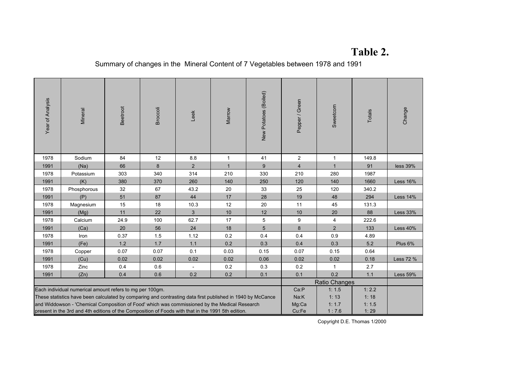## **Table 2.**

Summary of changes in the Mineral Content of 7 Vegetables between 1978 and 1991

| Year of Analysis | Mineral                                                                                                    | <b>Beetroot</b> | <b>Broccoli</b> | Leek                     | Marrow         | New Potatoes (Boiled) | Pepper / Green | Sweetcorn            | Totals | Change          |
|------------------|------------------------------------------------------------------------------------------------------------|-----------------|-----------------|--------------------------|----------------|-----------------------|----------------|----------------------|--------|-----------------|
| 1978             | Sodium                                                                                                     | 84              | 12              | 8.8                      | $\mathbf{1}$   | 41                    | $\overline{c}$ | $\mathbf{1}$         | 149.8  |                 |
| 1991             | (Na)                                                                                                       | 66              | 8               | $\overline{2}$           | $\overline{1}$ | $\boldsymbol{9}$      | $\overline{4}$ |                      | 91     | less 39%        |
| 1978             | Potassium                                                                                                  | 303             | 340             | 314                      | 210            | 330                   | 210            | 280                  | 1987   |                 |
| 1991             | (K)                                                                                                        | 380             | 370             | 260                      | 140            | 250                   | 120            | 140                  | 1660   | <b>Less 16%</b> |
| 1978             | Phosphorous                                                                                                | 32              | 67              | 43.2                     | 20             | 33                    | 25             | 120                  | 340.2  |                 |
| 1991             | (P)                                                                                                        | 51              | 87              | 44                       | 17             | 28                    | 19             | 48                   | 294    | <b>Less 14%</b> |
| 1978             | Magnesium                                                                                                  | 15              | 18              | 10.3                     | 12             | 20                    | 11             | 45                   | 131.3  |                 |
| 1991             | (Mg)                                                                                                       | 11              | 22              | 3                        | 10             | 12                    | 10             | 20                   | 88     | <b>Less 33%</b> |
| 1978             | Calcium                                                                                                    | 24.9            | 100             | 62.7                     | 17             | 5                     | 9              | $\overline{4}$       | 222.6  |                 |
| 1991             | (Ca)                                                                                                       | 20              | 56              | 24                       | 18             | 5                     | 8              | $\overline{2}$       | 133    | <b>Less 40%</b> |
| 1978             | Iron                                                                                                       | 0.37            | 1.5             | 1.12                     | 0.2            | 0.4                   | 0.4            | 0.9                  | 4.89   |                 |
| 1991             | (Fe)                                                                                                       | $1.2$           | 1.7             | 1.1                      | 0.2            | 0.3                   | 0.4            | 0.3                  | 5.2    | Plus 6%         |
| 1978             | Copper                                                                                                     | 0.07            | 0.07            | 0.1                      | 0.03           | 0.15                  | 0.07           | 0.15                 | 0.64   |                 |
| 1991             | (Cu)                                                                                                       | 0.02            | 0.02            | 0.02                     | 0.02           | 0.06                  | 0.02           | 0.02                 | 0.18   | Less 72 %       |
| 1978             | Zinc                                                                                                       | 0.4             | 0.6             | $\overline{\phantom{a}}$ | 0.2            | 0.3                   | 0.2            | $\mathbf{1}$         | 2.7    |                 |
| 1991             | (Zn)                                                                                                       | 0.4             | 0.6             | $0.2\,$                  | 0.2            | 0.1                   | 0.1            | 0.2                  | 1.1    | <b>Less 59%</b> |
|                  |                                                                                                            |                 |                 |                          |                |                       |                | <b>Ratio Changes</b> |        |                 |
|                  | Each individual numerical amount refers to mg per 100gm.                                                   |                 |                 |                          |                |                       | Ca:P           | 1:1.5                | 1:2.2  |                 |
|                  | These statistics have been calculated by comparing and contrasting data first published in 1940 by McCance |                 |                 |                          |                |                       | Na:K           | 1:13                 | 1:18   |                 |
|                  | and Widdowson - 'Chemical Composition of Food' which was commissioned by the Medical Research              |                 |                 |                          |                |                       | Mg:Ca          | 1:1.7                | 1:1.5  |                 |
|                  | present in the 3rd and 4th editions of the Composition of Foods with that in the 1991 5th edition.         |                 |                 |                          |                |                       | Cu:Fe          | 1:7.6                | 1:29   |                 |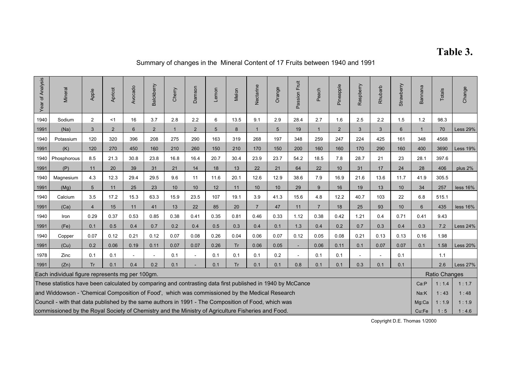### **Table 3.**

### Summary of changes in the Mineral Content of 17 Fruits between 1940 and 1991

| Analysis<br>$\sigma$<br>Year | Mineral                                                                                                    | Apple           | Apricot | Avocado | Balckberry | Cherry          | Damson         | Lemon | Melon     | Nectarine      | Orange | Passion Fruit  | Peach          | Pineapple | Raspberry    | Rhubarb | Strawberry | Bannana        | Totals               | Change          |
|------------------------------|------------------------------------------------------------------------------------------------------------|-----------------|---------|---------|------------|-----------------|----------------|-------|-----------|----------------|--------|----------------|----------------|-----------|--------------|---------|------------|----------------|----------------------|-----------------|
| 1940                         | Sodium                                                                                                     | $\overline{c}$  | $<$ 1   | 16      | 3.7        | 2.8             | 2.2            | 6     | 13.5      | 9.1            | 2.9    | 28.4           | 2.7            | 1.6       | 2.5          | 2.2     | 1.5        | 1.2            | 98.3                 |                 |
| 1991                         | (Na)                                                                                                       | $\mathbf{3}$    | 2       | 6       | 2          |                 | 2              | 5     | 8         | $\mathbf{1}$   | 5      | 19             | $\overline{1}$ | 2         | $\mathbf{3}$ | 3       | 6          | $\overline{1}$ | 70                   | <b>Less 29%</b> |
| 1940                         | Potassium                                                                                                  | 120             | 320     | 396     | 208        | 275             | 290            | 163   | 319       | 268            | 197    | 348            | 259            | 247       | 224          | 425     | 161        | 348            | 4568                 |                 |
| 1991                         | (K)                                                                                                        | 120             | 270     | 450     | 160        | 210             | 260            | 150   | 210       | 170            | 150    | 200            | 160            | 160       | 170          | 290     | 160        | 400            | 3690                 | <b>Less 19%</b> |
| 1940                         | Phosphorous                                                                                                | 8.5             | 21.3    | 30.8    | 23.8       | 16.8            | 16.4           | 20.7  | 30.4      | 23.9           | 23.7   | 54.2           | 18.5           | 7.8       | 28.7         | 21      | 23         | 28.1           | 397.6                |                 |
| 1991                         | (P)                                                                                                        | 11              | 20      | 39      | 31         | 21              | 14             | 18    | 13        | 22             | 21     | 64             | 22             | 10        | 31           | 17      | 24         | 28             | 406                  | plus 2%         |
| 1940                         | Magnesium                                                                                                  | 4.3             | 12.3    | 29.4    | 29.5       | 9.6             | 11             | 11.6  | 20.1      | 12.6           | 12.9   | 38.6           | 7.9            | 16.9      | 21.6         | 13.6    | 11.7       | 41.9           | 305.5                |                 |
| 1991                         | (Mg)                                                                                                       | $5\overline{)}$ | 11      | 25      | 23         | 10 <sup>1</sup> | 10             | 12    | 11        | 10             | 10     | 29             | 9              | 16        | 19           | 13      | 10         | 34             | 257                  | less 16%        |
| 1940                         | Calcium                                                                                                    | 3.5             | 17.2    | 15.3    | 63.3       | 15.9            | 23.5           | 107   | 19.1      | 3.9            | 41.3   | 15.6           | 4.8            | 12.2      | 40.7         | 103     | 22         | 6.8            | 515.1                |                 |
| 1991                         | (Ca)                                                                                                       | $\overline{4}$  | 15      | 11      | 41         | 13              | 22             | 85    | 20        | $\overline{7}$ | 47     | 11             | $\overline{7}$ | 18        | 25           | 93      | 10         | 6              | 435                  | less 16%        |
| 1940                         | Iron                                                                                                       | 0.29            | 0.37    | 0.53    | 0.85       | 0.38            | 0.41           | 0.35  | 0.81      | 0.46           | 0.33   | 1.12           | 0.38           | 0.42      | 1.21         | 0.4     | 0.71       | 0.41           | 9.43                 |                 |
| 1991                         | (Fe)                                                                                                       | 0.1             | 0.5     | 0.4     | 0.7        | 0.2             | 0.4            | 0.5   | 0.3       | 0.4            | 0.1    | 1.3            | 0.4            | 0.2       | 0.7          | 0.3     | 0.4        | 0.3            | 7.2                  | <b>Less 24%</b> |
| 1940                         | Copper                                                                                                     | 0.07            | 0.12    | 0.21    | 0.12       | 0.07            | 0.08           | 0.26  | 0.04      | 0.06           | 0.07   | 0.12           | 0.05           | 0.08      | 0.21         | 0.13    | 0.13       | 0.16           | 1.98                 |                 |
| 1991                         | (Cu)                                                                                                       | 0.2             | 0.06    | 0.19    | 0.11       | 0.07            | 0.07           | 0.26  | <b>Tr</b> | 0.06           | 0.05   | $\blacksquare$ | 0.06           | 0.11      | 0.1          | 0.07    | 0.07       | 0.1            | 1.58                 | <b>Less 20%</b> |
| 1978                         | Zinc                                                                                                       | 0.1             | 0.1     |         | $\sim$     | 0.1             | $\overline{a}$ | 0.1   | 0.1       | 0.1            | 0.2    | $\overline{a}$ | 0.1            | 0.1       |              | $\sim$  | 0.1        |                | 1.1                  |                 |
| 1991                         | (Zn)                                                                                                       | <b>Tr</b>       | 0.1     | 0.4     | 0.2        | 0.1             |                | 0.1   | <b>Tr</b> | 0.1            | 0.1    | 0.8            | 0.1            | 0.1       | 0.3          | 0.1     | 0.1        |                | 2.6                  | <b>Less 27%</b> |
|                              | Each individual figure represents mg per 100gm.                                                            |                 |         |         |            |                 |                |       |           |                |        |                |                |           |              |         |            |                | <b>Ratio Changes</b> |                 |
|                              | These statistics have been calculated by comparing and contrasting data first published in 1940 by McCance |                 |         |         |            |                 |                |       |           |                |        |                |                |           |              |         |            | Ca:P           | 1:14                 | 1:1.7           |
|                              | and Widdowson - 'Chemical Composition of Food', which was commissioned by the Medical Research             |                 |         |         |            |                 |                |       |           |                |        |                |                |           |              |         |            | Na:K           | 1:43                 | 1:48            |
|                              | Council - with that data published by the same authors in 1991 - The Composition of Food, which was        |                 |         |         |            |                 |                |       |           |                |        |                |                |           |              |         |            | Mg:Ca          | 1:1.9                | 1:1.9           |
|                              | commissioned by the Royal Society of Chemistry and the Ministry of Agriculture Fisheries and Food.         |                 |         |         |            |                 |                |       |           |                |        |                |                |           |              |         |            | Cu:Fe          | 1:5                  | 1:4.6           |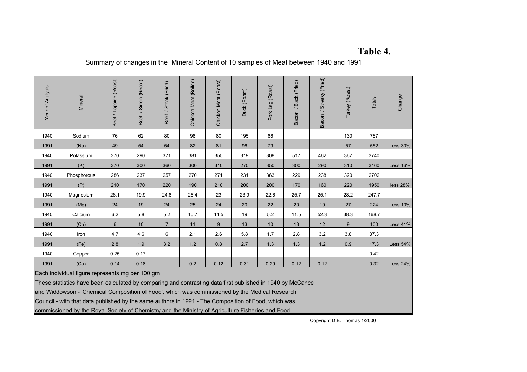#### **Table 4.**

Summary of changes in the Mineral Content of 10 samples of Meat between 1940 and 1991

| Year of Analysis | Mineral                                                                                                    | Beef / Topside (Roast) | / Sirloin (Roast)<br><b>Beef</b> | Beef / Steak (Fried) | Chicken Meat )Boiled) | Chicken Meat (Roast) | Duck (Roast) | Pork Leg (Roast) | / Back (Fried)<br>Bacon | / Streaky (Fried)<br>Bacon | Turkey (Roast) | Totals | Change          |
|------------------|------------------------------------------------------------------------------------------------------------|------------------------|----------------------------------|----------------------|-----------------------|----------------------|--------------|------------------|-------------------------|----------------------------|----------------|--------|-----------------|
| 1940             | Sodium                                                                                                     | 76                     | 62                               | 80                   | 98                    | 80                   | 195          | 66               |                         |                            | 130            | 787    |                 |
| 1991             | (Na)                                                                                                       | 49                     | 54                               | 54                   | 82                    | 81                   | 96           | 79               |                         |                            | 57             | 552    | Less 30%        |
| 1940             | Potassium                                                                                                  | 370                    | 290                              | 371                  | 381                   | 355                  | 319          | 308              | 517                     | 462                        | 367            | 3740   |                 |
| 1991             | (K)                                                                                                        | 370                    | 300                              | 360                  | 300                   | 310                  | 270          | 350              | 300                     | 290                        | 310            | 3160   | <b>Less 16%</b> |
| 1940             | Phosphorous                                                                                                | 286                    | 237                              | 257                  | 270                   | 271                  | 231          | 363              | 229                     | 238                        | 320            | 2702   |                 |
| 1991             | (P)                                                                                                        | 210                    | 170                              | 220                  | 190                   | 210                  | 200          | 200              | 170                     | 160                        | 220            | 1950   | less 28%        |
| 1940             | Magnesium                                                                                                  | 28.1                   | 19.9                             | 24.8                 | 26.4                  | 23                   | 23.9         | 22.6             | 25.7                    | 25.1                       | 28.2           | 247.7  |                 |
| 1991             | (Mg)                                                                                                       | 24                     | 19                               | 24                   | 25                    | 24                   | $20\,$       | 22               | 20                      | 19                         | 27             | 224    | <b>Less 10%</b> |
| 1940             | Calcium                                                                                                    | 6.2                    | 5.8                              | 5.2                  | 10.7                  | 14.5                 | 19           | 5.2              | 11.5                    | 52.3                       | 38.3           | 168.7  |                 |
| 1991             | (Ca)                                                                                                       | 6                      | 10 <sup>1</sup>                  | $\overline{7}$       | 11                    | 9                    | 13           | 10               | 13                      | 12                         | 9              | 100    | <b>Less 41%</b> |
| 1940             | Iron                                                                                                       | 4.7                    | 4.6                              | 6                    | 2.1                   | 2.6                  | 5.8          | 1.7              | 2.8                     | 3.2                        | 3.8            | 37.3   |                 |
| 1991             | (Fe)                                                                                                       | 2.8                    | 1.9                              | 3.2                  | 1.2                   | 0.8                  | 2.7          | 1.3              | 1.3                     | 1.2                        | 0.9            | 17.3   | Less 54%        |
| 1940             | Copper                                                                                                     | 0.25                   | 0.17                             |                      |                       |                      |              |                  |                         |                            |                | 0.42   |                 |
| 1991             | (Cu)                                                                                                       | 0.14                   | 0.18                             |                      | 0.2                   | 0.12                 | 0.31         | 0.29             | 0.12                    | 0.12                       |                | 0.32   | Less 24%        |
|                  | Each individual figure represents mg per 100 gm                                                            |                        |                                  |                      |                       |                      |              |                  |                         |                            |                |        |                 |
|                  | These statistics have been calculated by comparing and contrasting data first published in 1940 by McCance |                        |                                  |                      |                       |                      |              |                  |                         |                            |                |        |                 |
|                  | and Widdowson - 'Chemical Composition of Food', which was commissioned by the Medical Research             |                        |                                  |                      |                       |                      |              |                  |                         |                            |                |        |                 |
|                  | Council - with that data published by the same authors in 1991 - The Composition of Food, which was        |                        |                                  |                      |                       |                      |              |                  |                         |                            |                |        |                 |
|                  | commissioned by the Royal Society of Chemistry and the Ministry of Agriculture Fisheries and Food.         |                        |                                  |                      |                       |                      |              |                  |                         |                            |                |        |                 |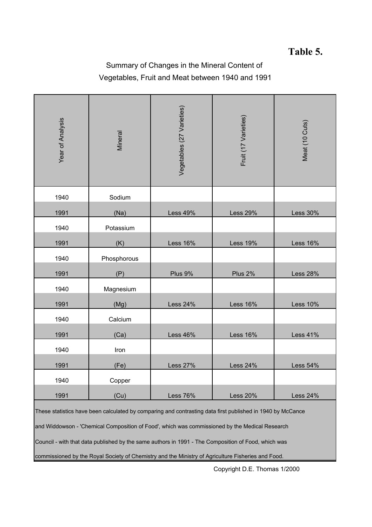# **Table 5.**

# Summary of Changes in the Mineral Content of Vegetables, Fruit and Meat between 1940 and 1991

| Year of Analysis | Mineral                                                                                        | Vegetables (27 Varieties)                                                                                  | Fruit (17 Varieties) | Meat (10 Cuts)  |  |  |  |  |  |
|------------------|------------------------------------------------------------------------------------------------|------------------------------------------------------------------------------------------------------------|----------------------|-----------------|--|--|--|--|--|
| 1940             | Sodium                                                                                         |                                                                                                            |                      |                 |  |  |  |  |  |
| 1991             | (Na)                                                                                           | <b>Less 49%</b>                                                                                            | <b>Less 29%</b>      | <b>Less 30%</b> |  |  |  |  |  |
| 1940             | Potassium                                                                                      |                                                                                                            |                      |                 |  |  |  |  |  |
| 1991             | (K)                                                                                            | <b>Less 16%</b>                                                                                            | <b>Less 19%</b>      | <b>Less 16%</b> |  |  |  |  |  |
| 1940             | Phosphorous                                                                                    |                                                                                                            |                      |                 |  |  |  |  |  |
| 1991             | (P)                                                                                            | Plus 9%                                                                                                    | Plus 2%              | <b>Less 28%</b> |  |  |  |  |  |
| 1940             | Magnesium                                                                                      |                                                                                                            |                      |                 |  |  |  |  |  |
| 1991             | (Mg)                                                                                           | <b>Less 24%</b>                                                                                            | <b>Less 16%</b>      | <b>Less 10%</b> |  |  |  |  |  |
| 1940             | Calcium                                                                                        |                                                                                                            |                      |                 |  |  |  |  |  |
| 1991             | (Ca)                                                                                           | <b>Less 46%</b>                                                                                            | <b>Less 16%</b>      | <b>Less 41%</b> |  |  |  |  |  |
| 1940             | Iron                                                                                           |                                                                                                            |                      |                 |  |  |  |  |  |
| 1991             | (Fe)                                                                                           | <b>Less 27%</b>                                                                                            | <b>Less 24%</b>      | <b>Less 54%</b> |  |  |  |  |  |
| 1940             | Copper                                                                                         |                                                                                                            |                      |                 |  |  |  |  |  |
| 1991             | (Cu)                                                                                           | <b>Less 76%</b>                                                                                            | <b>Less 20%</b>      | <b>Less 24%</b> |  |  |  |  |  |
|                  |                                                                                                | These statistics have been calculated by comparing and contrasting data first published in 1940 by McCance |                      |                 |  |  |  |  |  |
|                  | and Widdowson - 'Chemical Composition of Food', which was commissioned by the Medical Research |                                                                                                            |                      |                 |  |  |  |  |  |
|                  |                                                                                                | Council - with that data published by the same authors in 1991 - The Composition of Food, which was        |                      |                 |  |  |  |  |  |

commissioned by the Royal Society of Chemistry and the Ministry of Agriculture Fisheries and Food.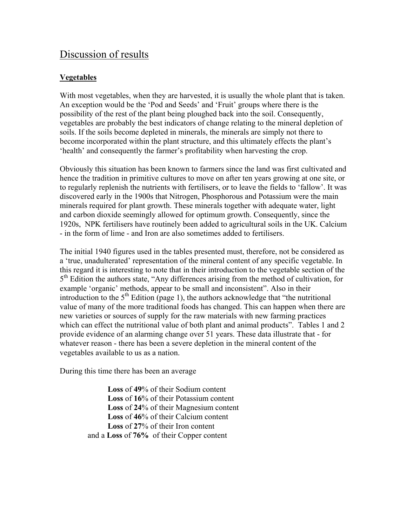# Discussion of results

#### **Vegetables**

With most vegetables, when they are harvested, it is usually the whole plant that is taken. An exception would be the 'Pod and Seeds' and 'Fruit' groups where there is the possibility of the rest of the plant being ploughed back into the soil. Consequently, vegetables are probably the best indicators of change relating to the mineral depletion of soils. If the soils become depleted in minerals, the minerals are simply not there to become incorporated within the plant structure, and this ultimately effects the plant's 'health' and consequently the farmer's profitability when harvesting the crop.

Obviously this situation has been known to farmers since the land was first cultivated and hence the tradition in primitive cultures to move on after ten years growing at one site, or to regularly replenish the nutrients with fertilisers, or to leave the fields to 'fallow'. It was discovered early in the 1900s that Nitrogen, Phosphorous and Potassium were the main minerals required for plant growth. These minerals together with adequate water, light and carbon dioxide seemingly allowed for optimum growth. Consequently, since the 1920s, NPK fertilisers have routinely been added to agricultural soils in the UK. Calcium - in the form of lime - and Iron are also sometimes added to fertilisers.

The initial 1940 figures used in the tables presented must, therefore, not be considered as a 'true, unadulterated' representation of the mineral content of any specific vegetable. In this regard it is interesting to note that in their introduction to the vegetable section of the 5<sup>th</sup> Edition the authors state, "Any differences arising from the method of cultivation, for example 'organic' methods, appear to be small and inconsistent". Also in their introduction to the  $5<sup>th</sup>$  Edition (page 1), the authors acknowledge that "the nutritional value of many of the more traditional foods has changed. This can happen when there are new varieties or sources of supply for the raw materials with new farming practices which can effect the nutritional value of both plant and animal products". Tables 1 and 2 provide evidence of an alarming change over 51 years. These data illustrate that - for whatever reason - there has been a severe depletion in the mineral content of the vegetables available to us as a nation.

During this time there has been an average

**Loss** of **49**% of their Sodium content **Loss** of **16**% of their Potassium content **Loss** of **24**% of their Magnesium content **Loss** of **46**% of their Calcium content **Loss** of **27**% of their Iron content and a **Loss** of **76%** of their Copper content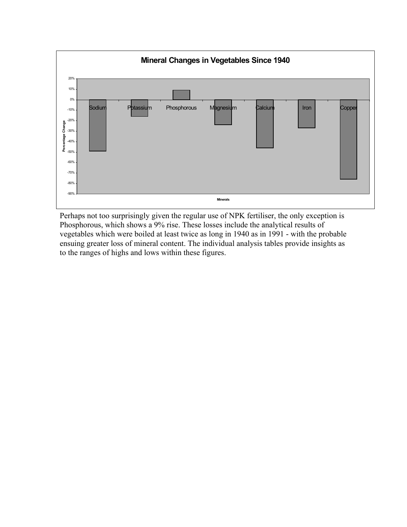

Perhaps not too surprisingly given the regular use of NPK fertiliser, the only exception is Phosphorous, which shows a 9% rise. These losses include the analytical results of vegetables which were boiled at least twice as long in 1940 as in 1991 - with the probable ensuing greater loss of mineral content. The individual analysis tables provide insights as to the ranges of highs and lows within these figures.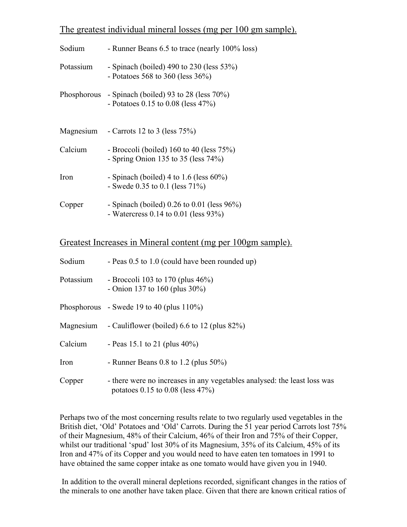### The greatest individual mineral losses (mg per 100 gm sample).

| Sodium      | - Runner Beans 6.5 to trace (nearly 100% loss)                                                     |
|-------------|----------------------------------------------------------------------------------------------------|
| Potassium   | - Spinach (boiled) 490 to 230 (less $53\%$ )<br>- Potatoes 568 to 360 (less $36\%$ )               |
| Phosphorous | - Spinach (boiled) 93 to 28 (less $70\%$ )<br>- Potatoes $0.15$ to $0.08$ (less $47\%$ )           |
| Magnesium   | - Carrots 12 to 3 (less $75\%$ )                                                                   |
| Calcium     | - Broccoli (boiled) $160$ to $40$ (less $75\%$ )<br>- Spring Onion 135 to 35 (less $74\%$ )        |
| Iron        | - Spinach (boiled) 4 to 1.6 (less $60\%$ )<br>- Swede $0.35$ to $0.1$ (less $71\%$ )               |
| Copper      | - Spinach (boiled) $0.26$ to $0.01$ (less $96\%$ )<br>- Watercress $0.14$ to $0.01$ (less $93\%$ ) |

#### Greatest Increases in Mineral content (mg per 100gm sample).

| Sodium    | - Peas 0.5 to 1.0 (could have been rounded up)                                                                       |
|-----------|----------------------------------------------------------------------------------------------------------------------|
| Potassium | - Broccoli 103 to 170 (plus $46\%$ )<br>- Onion 137 to 160 (plus $30\%$ )                                            |
|           | Phosphorous - Swede 19 to 40 (plus $110\%$ )                                                                         |
| Magnesium | - Cauliflower (boiled) 6.6 to 12 (plus $82\%$ )                                                                      |
| Calcium   | - Peas 15.1 to 21 (plus $40\%$ )                                                                                     |
| Iron      | - Runner Beans $0.8$ to $1.2$ (plus $50\%$ )                                                                         |
| Copper    | - there were no increases in any vegetables analysed: the least loss was<br>potatoes $0.15$ to $0.08$ (less $47\%$ ) |

Perhaps two of the most concerning results relate to two regularly used vegetables in the British diet, 'Old' Potatoes and 'Old' Carrots. During the 51 year period Carrots lost 75% of their Magnesium, 48% of their Calcium, 46% of their Iron and 75% of their Copper, whilst our traditional 'spud' lost 30% of its Magnesium, 35% of its Calcium, 45% of its Iron and 47% of its Copper and you would need to have eaten ten tomatoes in 1991 to have obtained the same copper intake as one tomato would have given you in 1940.

 In addition to the overall mineral depletions recorded, significant changes in the ratios of the minerals to one another have taken place. Given that there are known critical ratios of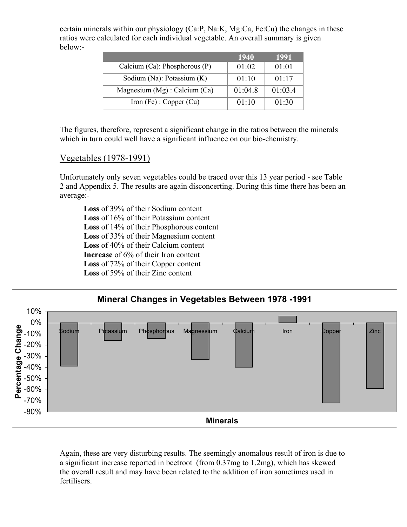certain minerals within our physiology (Ca:P, Na:K, Mg:Ca, Fe:Cu) the changes in these ratios were calculated for each individual vegetable. An overall summary is given below:-

|                                   | <b>1940</b> | <b>1991</b> |
|-----------------------------------|-------------|-------------|
| Calcium (Ca): Phosphorous $(P)$   | 01:02       | 01:01       |
| Sodium (Na): Potassium (K)        | 01:10       | 01:17       |
| Magnesium $(Mg)$ : Calcium $(Ca)$ | 01:04.8     | 01:03.4     |
| Iron $(Fe)$ : Copper $(Cu)$       | 01:10       | 01:30       |

The figures, therefore, represent a significant change in the ratios between the minerals which in turn could well have a significant influence on our bio-chemistry.

### Vegetables (1978-1991)

Unfortunately only seven vegetables could be traced over this 13 year period - see Table 2 and Appendix 5. The results are again disconcerting. During this time there has been an average:-

**Loss** of 39% of their Sodium content **Loss** of 16% of their Potassium content **Loss** of 14% of their Phosphorous content **Loss** of 33% of their Magnesium content **Loss** of 40% of their Calcium content **Increase** of 6% of their Iron content **Loss** of 72% of their Copper content **Loss** of 59% of their Zinc content



Again, these are very disturbing results. The seemingly anomalous result of iron is due to a significant increase reported in beetroot (from 0.37mg to 1.2mg), which has skewed the overall result and may have been related to the addition of iron sometimes used in fertilisers.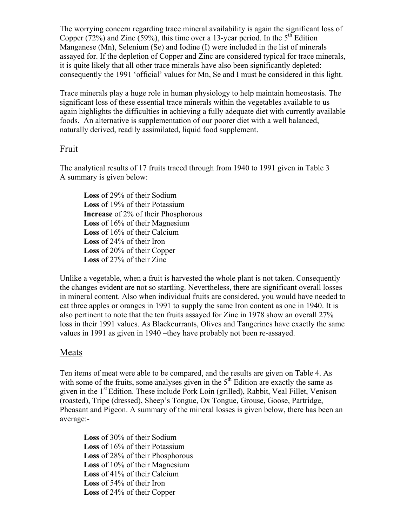The worrying concern regarding trace mineral availability is again the significant loss of Copper (72%) and Zinc (59%), this time over a 13-year period. In the  $5<sup>th</sup>$  Edition Manganese (Mn), Selenium (Se) and Iodine (I) were included in the list of minerals assayed for. If the depletion of Copper and Zinc are considered typical for trace minerals, it is quite likely that all other trace minerals have also been significantly depleted: consequently the 1991 'official' values for Mn, Se and I must be considered in this light.

Trace minerals play a huge role in human physiology to help maintain homeostasis. The significant loss of these essential trace minerals within the vegetables available to us again highlights the difficulties in achieving a fully adequate diet with currently available foods. An alternative is supplementation of our poorer diet with a well balanced, naturally derived, readily assimilated, liquid food supplement.

#### Fruit

The analytical results of 17 fruits traced through from 1940 to 1991 given in Table 3 A summary is given below:

**Loss** of 29% of their Sodium **Loss** of 19% of their Potassium **Increase** of 2% of their Phosphorous **Loss** of 16% of their Magnesium **Loss** of 16% of their Calcium **Loss** of 24% of their Iron **Loss** of 20% of their Copper **Loss** of 27% of their Zinc

Unlike a vegetable, when a fruit is harvested the whole plant is not taken. Consequently the changes evident are not so startling. Nevertheless, there are significant overall losses in mineral content. Also when individual fruits are considered, you would have needed to eat three apples or oranges in 1991 to supply the same Iron content as one in 1940. It is also pertinent to note that the ten fruits assayed for Zinc in 1978 show an overall 27% loss in their 1991 values. As Blackcurrants, Olives and Tangerines have exactly the same values in 1991 as given in 1940 –they have probably not been re-assayed.

### Meats

Ten items of meat were able to be compared, and the results are given on Table 4. As with some of the fruits, some analyses given in the  $5<sup>th</sup>$  Edition are exactly the same as given in the 1st Edition. These include Pork Loin (grilled), Rabbit, Veal Fillet, Venison (roasted), Tripe (dressed), Sheep's Tongue, Ox Tongue, Grouse, Goose, Partridge, Pheasant and Pigeon. A summary of the mineral losses is given below, there has been an average:-

**Loss** of 30% of their Sodium **Loss** of 16% of their Potassium **Loss** of 28% of their Phosphorous **Loss** of 10% of their Magnesium **Loss** of 41% of their Calcium **Loss** of 54% of their Iron **Loss** of 24% of their Copper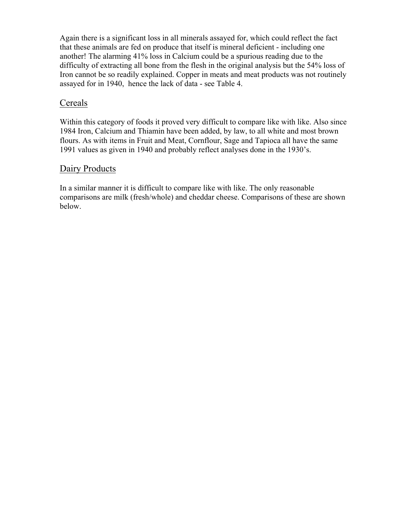Again there is a significant loss in all minerals assayed for, which could reflect the fact that these animals are fed on produce that itself is mineral deficient - including one another! The alarming 41% loss in Calcium could be a spurious reading due to the difficulty of extracting all bone from the flesh in the original analysis but the 54% loss of Iron cannot be so readily explained. Copper in meats and meat products was not routinely assayed for in 1940, hence the lack of data - see Table 4.

### Cereals

Within this category of foods it proved very difficult to compare like with like. Also since 1984 Iron, Calcium and Thiamin have been added, by law, to all white and most brown flours. As with items in Fruit and Meat, Cornflour, Sage and Tapioca all have the same 1991 values as given in 1940 and probably reflect analyses done in the 1930's.

### Dairy Products

In a similar manner it is difficult to compare like with like. The only reasonable comparisons are milk (fresh/whole) and cheddar cheese. Comparisons of these are shown below.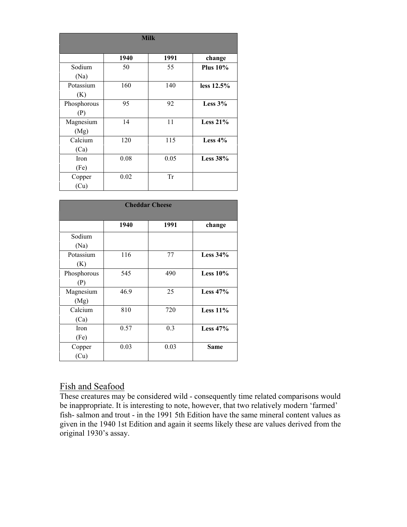|             |      | <b>Milk</b> |                 |
|-------------|------|-------------|-----------------|
|             |      |             |                 |
|             | 1940 | 1991        | change          |
| Sodium      | 50   | 55          | <b>Plus 10%</b> |
| (Na)        |      |             |                 |
| Potassium   | 160  | 140         | less 12.5%      |
| (K)         |      |             |                 |
| Phosphorous | 95   | 92          | Less $3%$       |
| (P)         |      |             |                 |
| Magnesium   | 14   | 11          | <b>Less 21%</b> |
| (Mg)        |      |             |                 |
| Calcium     | 120  | 115         | Less $4%$       |
| (Ca)        |      |             |                 |
| Iron        | 0.08 | 0.05        | Less $38%$      |
| (Fe)        |      |             |                 |
| Copper      | 0.02 | Tr          |                 |
| (Cu)        |      |             |                 |

|                    | <b>Cheddar Cheese</b> |      |             |  |  |  |  |  |  |  |
|--------------------|-----------------------|------|-------------|--|--|--|--|--|--|--|
|                    | 1940                  | 1991 | change      |  |  |  |  |  |  |  |
| Sodium<br>(Na)     |                       |      |             |  |  |  |  |  |  |  |
| Potassium<br>(K)   | 116                   | 77   | Less $34\%$ |  |  |  |  |  |  |  |
| Phosphorous<br>(P) | 545                   | 490  | Less $10\%$ |  |  |  |  |  |  |  |
| Magnesium<br>(Mg)  | 46.9                  | 25   | Less $47%$  |  |  |  |  |  |  |  |
| Calcium<br>(Ca)    | 810                   | 720  | Less $11\%$ |  |  |  |  |  |  |  |
| Iron<br>(Fe)       | 0.57                  | 0.3  | Less $47%$  |  |  |  |  |  |  |  |
| Copper<br>(Cu)     | 0.03                  | 0.03 | <b>Same</b> |  |  |  |  |  |  |  |

### Fish and Seafood

These creatures may be considered wild - consequently time related comparisons would be inappropriate. It is interesting to note, however, that two relatively modern 'farmed' fish- salmon and trout - in the 1991 5th Edition have the same mineral content values as given in the 1940 1st Edition and again it seems likely these are values derived from the original 1930's assay.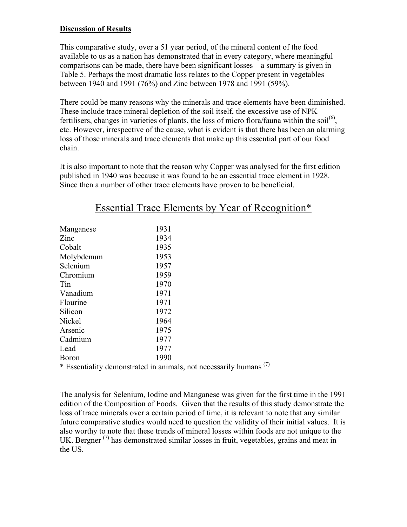#### **Discussion of Results**

This comparative study, over a 51 year period, of the mineral content of the food available to us as a nation has demonstrated that in every category, where meaningful comparisons can be made, there have been significant losses – a summary is given in Table 5. Perhaps the most dramatic loss relates to the Copper present in vegetables between 1940 and 1991 (76%) and Zinc between 1978 and 1991 (59%).

There could be many reasons why the minerals and trace elements have been diminished. These include trace mineral depletion of the soil itself, the excessive use of NPK fertilisers, changes in varieties of plants, the loss of micro flora/fauna within the soil<sup>(6)</sup>, etc. However, irrespective of the cause, what is evident is that there has been an alarming loss of those minerals and trace elements that make up this essential part of our food chain.

It is also important to note that the reason why Copper was analysed for the first edition published in 1940 was because it was found to be an essential trace element in 1928. Since then a number of other trace elements have proven to be beneficial.

| Manganese    | 1931 |
|--------------|------|
| Zinc         | 1934 |
| Cobalt       | 1935 |
| Molybdenum   | 1953 |
| Selenium     | 1957 |
| Chromium     | 1959 |
| Tin          | 1970 |
| Vanadium     | 1971 |
| Flourine     | 1971 |
| Silicon      | 1972 |
| Nickel       | 1964 |
| Arsenic      | 1975 |
| Cadmium      | 1977 |
| Lead         | 1977 |
| <b>Boron</b> | 1990 |

### Essential Trace Elements by Year of Recognition\*

\* Essentiality demonstrated in animals, not necessarily humans  $(7)$ 

The analysis for Selenium, Iodine and Manganese was given for the first time in the 1991 edition of the Composition of Foods. Given that the results of this study demonstrate the loss of trace minerals over a certain period of time, it is relevant to note that any similar future comparative studies would need to question the validity of their initial values. It is also worthy to note that these trends of mineral losses within foods are not unique to the UK. Bergner<sup> $(7)$ </sup> has demonstrated similar losses in fruit, vegetables, grains and meat in the US.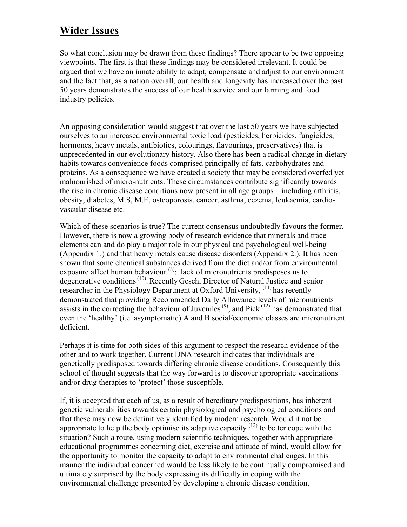# **Wider Issues**

So what conclusion may be drawn from these findings? There appear to be two opposing viewpoints. The first is that these findings may be considered irrelevant. It could be argued that we have an innate ability to adapt, compensate and adjust to our environment and the fact that, as a nation overall, our health and longevity has increased over the past 50 years demonstrates the success of our health service and our farming and food industry policies.

An opposing consideration would suggest that over the last 50 years we have subjected ourselves to an increased environmental toxic load (pesticides, herbicides, fungicides, hormones, heavy metals, antibiotics, colourings, flavourings, preservatives) that is unprecedented in our evolutionary history. Also there has been a radical change in dietary habits towards convenience foods comprised principally of fats, carbohydrates and proteins. As a consequence we have created a society that may be considered overfed yet malnourished of micro-nutrients. These circumstances contribute significantly towards the rise in chronic disease conditions now present in all age groups – including arthritis, obesity, diabetes, M.S, M.E, osteoporosis, cancer, asthma, eczema, leukaemia, cardiovascular disease etc.

Which of these scenarios is true? The current consensus undoubtedly favours the former. However, there is now a growing body of research evidence that minerals and trace elements can and do play a major role in our physical and psychological well-being (Appendix 1.) and that heavy metals cause disease disorders (Appendix 2.). It has been shown that some chemical substances derived from the diet and/or from environmental exposure affect human behaviour  $(8)$ : lack of micronutrients predisposes us to degenerative conditions<sup>(10)</sup>. Recently Gesch, Director of Natural Justice and senior researcher in the Physiology Department at Oxford University, <sup>(11)</sup> has recently demonstrated that providing Recommended Daily Allowance levels of micronutrients assists in the correcting the behaviour of Juveniles<sup> $(9)$ </sup>, and Pick $(12)$  has demonstrated that even the 'healthy' (i.e. asymptomatic) A and B social/economic classes are micronutrient deficient.

Perhaps it is time for both sides of this argument to respect the research evidence of the other and to work together. Current DNA research indicates that individuals are genetically predisposed towards differing chronic disease conditions. Consequently this school of thought suggests that the way forward is to discover appropriate vaccinations and/or drug therapies to 'protect' those susceptible.

If, it is accepted that each of us, as a result of hereditary predispositions, has inherent genetic vulnerabilities towards certain physiological and psychological conditions and that these may now be definitively identified by modern research. Would it not be appropriate to help the body optimise its adaptive capacity  $(12)$  to better cope with the situation? Such a route, using modern scientific techniques, together with appropriate educational programmes concerning diet, exercise and attitude of mind, would allow for the opportunity to monitor the capacity to adapt to environmental challenges. In this manner the individual concerned would be less likely to be continually compromised and ultimately surprised by the body expressing its difficulty in coping with the environmental challenge presented by developing a chronic disease condition.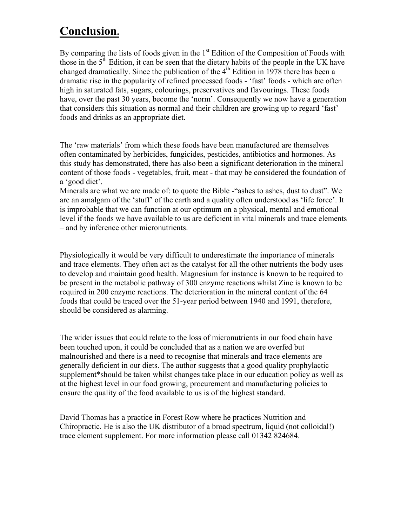# **Conclusion.**

By comparing the lists of foods given in the  $1<sup>st</sup>$  Edition of the Composition of Foods with those in the  $5<sup>th</sup>$  Edition, it can be seen that the dietary habits of the people in the UK have changed dramatically. Since the publication of the  $4<sup>th</sup>$  Edition in 1978 there has been a dramatic rise in the popularity of refined processed foods - 'fast' foods - which are often high in saturated fats, sugars, colourings, preservatives and flavourings. These foods have, over the past 30 years, become the 'norm'. Consequently we now have a generation that considers this situation as normal and their children are growing up to regard 'fast' foods and drinks as an appropriate diet.

The 'raw materials' from which these foods have been manufactured are themselves often contaminated by herbicides, fungicides, pesticides, antibiotics and hormones. As this study has demonstrated, there has also been a significant deterioration in the mineral content of those foods - vegetables, fruit, meat - that may be considered the foundation of a 'good diet'.

Minerals are what we are made of: to quote the Bible -"ashes to ashes, dust to dust". We are an amalgam of the 'stuff' of the earth and a quality often understood as 'life force'. It is improbable that we can function at our optimum on a physical, mental and emotional level if the foods we have available to us are deficient in vital minerals and trace elements – and by inference other micronutrients.

Physiologically it would be very difficult to underestimate the importance of minerals and trace elements. They often act as the catalyst for all the other nutrients the body uses to develop and maintain good health. Magnesium for instance is known to be required to be present in the metabolic pathway of 300 enzyme reactions whilst Zinc is known to be required in 200 enzyme reactions. The deterioration in the mineral content of the 64 foods that could be traced over the 51-year period between 1940 and 1991, therefore, should be considered as alarming.

The wider issues that could relate to the loss of micronutrients in our food chain have been touched upon, it could be concluded that as a nation we are overfed but malnourished and there is a need to recognise that minerals and trace elements are generally deficient in our diets. The author suggests that a good quality prophylactic supplement\*should be taken whilst changes take place in our education policy as well as at the highest level in our food growing, procurement and manufacturing policies to ensure the quality of the food available to us is of the highest standard.

David Thomas has a practice in Forest Row where he practices Nutrition and Chiropractic. He is also the UK distributor of a broad spectrum, liquid (not colloidal!) trace element supplement. For more information please call 01342 824684.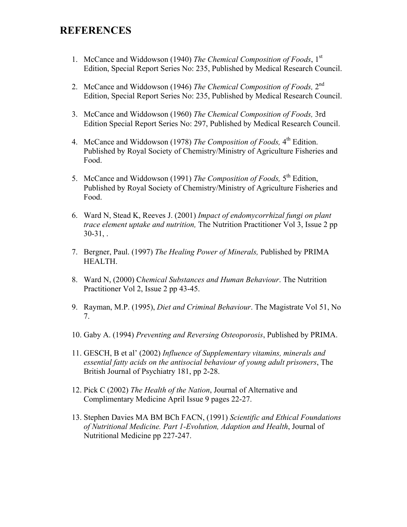# **REFERENCES**

- 1. McCance and Widdowson (1940) *The Chemical Composition of Foods*, 1st Edition, Special Report Series No: 235, Published by Medical Research Council.
- 2. McCance and Widdowson (1946) *The Chemical Composition of Foods,* 2nd Edition, Special Report Series No: 235, Published by Medical Research Council.
- 3. McCance and Widdowson (1960) *The Chemical Composition of Foods,* 3rd Edition Special Report Series No: 297, Published by Medical Research Council.
- 4. McCance and Widdowson (1978) *The Composition of Foods*, 4<sup>th</sup> Edition. Published by Royal Society of Chemistry/Ministry of Agriculture Fisheries and Food.
- 5. McCance and Widdowson (1991) *The Composition of Foods,* 5th Edition, Published by Royal Society of Chemistry/Ministry of Agriculture Fisheries and Food.
- 6. Ward N, Stead K, Reeves J. (2001) *Impact of endomycorrhizal fungi on plant trace element uptake and nutrition,* The Nutrition Practitioner Vol 3, Issue 2 pp  $30-31$ , .
- 7. Bergner, Paul. (1997) *The Healing Power of Minerals,* Published by PRIMA HEALTH.
- 8. Ward N, (2000) C*hemical Substances and Human Behaviour*. The Nutrition Practitioner Vol 2, Issue 2 pp 43-45.
- 9. Rayman, M.P. (1995), *Diet and Criminal Behaviour*. The Magistrate Vol 51, No 7.
- 10. Gaby A. (1994) *Preventing and Reversing Osteoporosis*, Published by PRIMA.
- 11. GESCH, B et al' (2002) *Influence of Supplementary vitamins, minerals and essential fatty acids on the antisocial behaviour of young adult prisoners*, The British Journal of Psychiatry 181, pp 2-28.
- 12. Pick C (2002) *The Health of the Nation*, Journal of Alternative and Complimentary Medicine April Issue 9 pages 22-27.
- 13. Stephen Davies MA BM BCh FACN, (1991) *Scientific and Ethical Foundations of Nutritional Medicine. Part 1-Evolution, Adaption and Health*, Journal of Nutritional Medicine pp 227-247.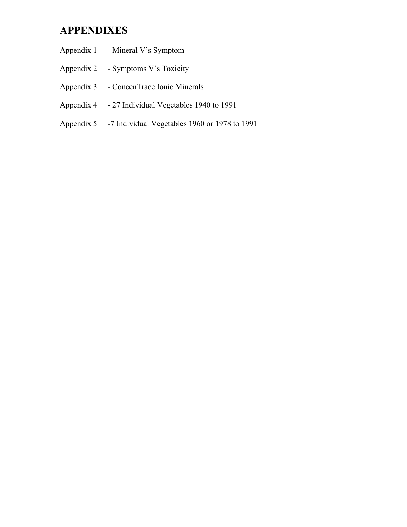# **APPENDIXES**

- Appendix 1 Mineral V's Symptom
- Appendix 2 Symptoms V's Toxicity
- Appendix 3 ConcenTrace Ionic Minerals
- Appendix 4 27 Individual Vegetables 1940 to 1991
- Appendix 5 -7 Individual Vegetables 1960 or 1978 to 1991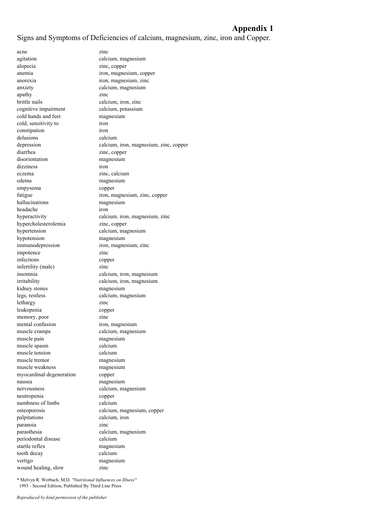#### **Appendix 1**

Signs and Symptoms of Deficiencies of calcium, magnesium, zinc, iron and Copper.

acne zinc agitation calcium, magnesium alopecia zinc, copper anemia iron, magnesium, copper anorexia iron, magnesium, zinc anxiety calcium, magnesium apathy zinc brittle nails calcium, iron, zinc cognitive impairment calcium, potassium cold hands and feet magnesium cold, sensitivity to iron constipation iron delusions calcium diarrhea zinc, copper disorientation magnesium dizziness iron eczema zinc, calcium edema magnesium empysema copper hallucinations magnesium headache iron hypercholesterolemia zinc, copper hypertension calcium, magnesium hypotension magnesium immunodepression iron, magnesium, zinc impotence zinc infections copper infertility (male) zinc kidney stones magnesium legs, restless calcium, magnesium lethargy zinc leukopenia copper memory, poor zinc mental confusion iron, magnesium muscle cramps calcium, magnesium muscle pain magnesium muscle spasm calcium muscle tension calcium muscle tremor magnesium muscle weakness magnesium myocardinal degeneration copper nausea magnesium nervousness calcium, magnesium neutropenia copper numbness of limbs calcium palpitations calcium, iron paranoia zinc parasthesia calcium, magnesium periodontal disease calcium startle reflex magnesium tooth decay calcium vertigo magnesium wound healing, slow zinc

depression calcium, iron, magnesium, zinc, copper fatigue iron, magnesium, zinc, copper hyperactivity calcium, iron, magnesium, zinc insomnia calcium, iron, magnesium irritability calcium, iron, magnesium osteoporosis calcium, magnesium, copper

\* Melvyn R. Werbach, M.D. *"Nutritional Influences on Illness"*  1993 - Second Edition, Published By Third Line Press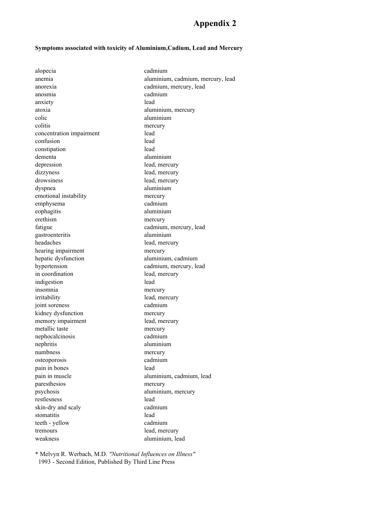### **Appendix 2**

#### **Symptoms associated with toxicity of Aluminium,Cadium, Lead and Mercury**

alopecia cadmium anemia aluminium, cadmium, mercury, lead anorexia cadmium, mercury, lead anosmia cadmium anxiety lead atoxia aluminium, mercury colic aluminium aluminium colitis mercury concentration impairment lead confusion lead constipation lead dementa aluminium depression lead, mercury dizzyness lead, mercury drowsiness lead, mercury dyspnea aluminium emotional instability mercury emphysema cadmium eophagitis aluminium erethism mercury fatigue cadmium, mercury, lead gastroenteritis aluminium headaches lead, mercury hearing impairment mercury hepatic dysfunction aluminium, cadmium hypertension cadmium, mercury, lead in coordination lead, mercury indigestion lead insomnia mercury irritability lead, mercury joint soreness cadmium kidney dysfunction mercury memory impairment lead, mercury metallic taste mercury nephocalcinosis cadmium nephritis aluminium numbness mercury osteoporosis cadmium pain in bones lead pain in muscle aluminium, cadmium, lead paresthesios mercury psychosis aluminium, mercury restlesness lead skin-dry and scaly cadmium stomatitis lead teeth - yellow cadmium tremours lead, mercury weakness aluminium, lead

\* Melvyn R. Werbach, M.D. *"Nutritional Influences on Illness"*  1993 - Second Edition, Published By Third Line Press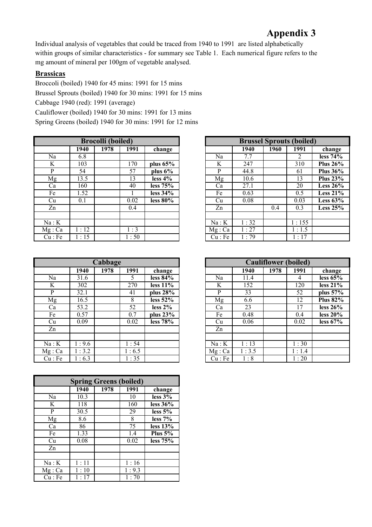# **Appendix 3**

Individual analysis of vegetables that could be traced from 1940 to 1991 are listed alphabetically within groups of similar characteristics - for summary see Table 1. Each numerical figure refers to the mg amount of mineral per 100gm of vegetable analysed.

#### **Brassicas**

Broccoli (boiled) 1940 for 45 mins: 1991 for 15 mins Brussel Sprouts (boiled) 1940 for 30 mins: 1991 for 15 mins Cabbage 1940 (red): 1991 (average) Cauliflower (boiled) 1940 for 30 mins: 1991 for 13 mins Spring Greens (boiled) 1940 for 30 mins: 1991 for 12 mins

|       |      | <b>Brocolli (boiled)</b> |      |             |       | <b>Brussel Sprouts (boile</b> |      |                  |
|-------|------|--------------------------|------|-------------|-------|-------------------------------|------|------------------|
|       | 1940 | 1978                     | 1991 | change      |       | 1940                          | 1960 | 1991             |
| Na    | 6.8  |                          |      |             | Na    | 7.7                           |      | 2                |
| K     | 103  |                          | 170  | plus $65%$  | K     | 247                           |      | 310              |
| P     | 54   |                          | 57   | plus $6\%$  | P     | 44.8                          |      | 61               |
| Mg    | 13.5 |                          | 13   | less 4%     | Mg    | 10.6                          |      | 13               |
| Ca    | 160  |                          | 40   | less 75%    | Ca    | 27.1                          |      | 20               |
| Fe    | 1.52 |                          |      | less $34%$  | Fe    | 0.63                          |      | $\overline{0.5}$ |
| Cu    | 0.1  |                          | 0.02 | less $80\%$ | Cu    | 0.08                          |      | 0.03             |
| Zn    |      |                          | 0.4  |             | Zn    |                               | 0.4  | 0.3              |
|       |      |                          |      |             |       |                               |      |                  |
| Na:K  |      |                          |      |             | Na:K  | 1:32                          |      | 1:155            |
| Mg:Ca | 1:12 |                          | 1:3  |             | Mg:Ca | 1:27                          |      | 1:1.5            |
| Cu:Fe | 1:15 |                          | 1:50 |             | Cu:Fe | 1:79                          |      | 1:17             |

|       |                  | Cabbage |       |             |       |       | <b>Cauliflower</b> (boiled |       |
|-------|------------------|---------|-------|-------------|-------|-------|----------------------------|-------|
|       | 1940             | 1978    | 1991  | change      |       | 1940  | 1978                       | 1991  |
| Na    | 31.6             |         | 5     | less $84%$  | Na    | 11.4  |                            | 4     |
| K     | 302              |         | 270   | less $11\%$ | K     | 152   |                            | 120   |
| P     | 32.1             |         | 41    | plus 28%    | P     | 33    |                            | 52    |
| Mg    | 16.5             |         | 8     | less $52\%$ | Mg    | 6.6   |                            | 12    |
| Ca    | 53.2             |         | 52    | $less 2\%$  | Ca    | 23    |                            | 17    |
| Fe    | 0.57             |         | 0.7   | plus $23%$  | Fe    | 0.48  |                            | 0.4   |
| Cu    | 0.09             |         | 0.02  | less $78%$  | Cu    | 0.06  |                            | 0.02  |
| Zn    |                  |         |       |             | Zn    |       |                            |       |
|       |                  |         |       |             |       |       |                            |       |
| Na:K  | 1:9.6            |         | 1:54  |             | Na:K  | 1:13  |                            | 1:30  |
| Mg:Ca | $\therefore$ 3.2 |         | 1:6.5 |             | Mg:Ca | 1:3.5 |                            | 1:1.4 |
| Cu:Fe | 1:6.3            |         | 1:35  |             | Cu:Fe | 1:8   |                            | 1:20  |

| <b>Spring Greens (boiled)</b> |      |      |       |            |  |  |  |  |  |  |  |  |
|-------------------------------|------|------|-------|------------|--|--|--|--|--|--|--|--|
|                               | 1940 | 1978 | 1991  | change     |  |  |  |  |  |  |  |  |
| Na                            | 10.3 |      | 10    | less $3%$  |  |  |  |  |  |  |  |  |
| K                             | 118  |      | 160   | less $36%$ |  |  |  |  |  |  |  |  |
| P                             | 30.5 |      | 29    | less 5%    |  |  |  |  |  |  |  |  |
| Mg                            | 8.6  |      | 8     | less 7%    |  |  |  |  |  |  |  |  |
| Ca                            | 86   |      | 75    | less 13%   |  |  |  |  |  |  |  |  |
| Fe                            | 1.33 |      | 1.4   | Plus 5%    |  |  |  |  |  |  |  |  |
| Cu                            | 0.08 |      | 0.02  | less 75%   |  |  |  |  |  |  |  |  |
| Zn                            |      |      |       |            |  |  |  |  |  |  |  |  |
|                               |      |      |       |            |  |  |  |  |  |  |  |  |
| Na:K                          | 1:11 |      | 1:16  |            |  |  |  |  |  |  |  |  |
| Mg:Ca                         | 1:10 |      | 1:9.3 |            |  |  |  |  |  |  |  |  |
| Cu:Fe                         | 1:17 |      | 1:70  |            |  |  |  |  |  |  |  |  |

|                          |      | <b>Brocolli (boiled)</b> |      |             |       |      |      | <b>Brussel Sprouts (boiled)</b> |                 |
|--------------------------|------|--------------------------|------|-------------|-------|------|------|---------------------------------|-----------------|
|                          | 1940 | 1978                     | 1991 | change      |       | 1940 | 1960 | 1991                            | change          |
| Na                       | 6.8  |                          |      |             | Na    | 7.7  |      | 2                               | less 74%        |
| $\overline{K}$           | 103  |                          | 170  | plus $65\%$ | K     | 247  |      | 310                             | <b>Plus 26%</b> |
| $\mathbf{P}$             | 54   |                          | 57   | plus $6\%$  | P     | 44.8 |      | 61                              | <b>Plus 36%</b> |
| Mg                       | 13.5 |                          | 13   | less 4%     | Mg    | 10.6 |      | 13                              | <b>Plus 23%</b> |
| $\overline{Ca}$          | 160  |                          | 40   | less $75%$  | Ca    | 27.1 |      | 20                              | Less $26%$      |
| Fe                       | 1.52 |                          |      | less $34%$  | Fe    | 0.63 |      | 0.5                             | Less $21%$      |
| $\overline{\mathrm{Cu}}$ | 0.1  |                          | 0.02 | less $80\%$ | Cu    | 0.08 |      | 0.03                            | Less $63%$      |
| $\overline{Zn}$          |      |                          | 0.4  |             | Zn    |      | 0.4  | 0.3                             | Less $25%$      |
|                          |      |                          |      |             |       |      |      |                                 |                 |
| a:K                      |      |                          |      |             | Na:K  | 1:32 |      | 1:155                           |                 |
| g : Ca                   | 1:12 |                          | 1:3  |             | Mg:Ca | 1:27 |      | 1:1.5                           |                 |
| u : Fe                   | 1:15 |                          | 1:50 |             | Cu:Fe | 1:79 |      | 1:17                            |                 |

|                 |       | Cabbage |       |                        | <b>Cauliflower</b> (boiled) |       |      |       |                 |  |
|-----------------|-------|---------|-------|------------------------|-----------------------------|-------|------|-------|-----------------|--|
|                 | 1940  | 1978    | 1991  | change                 |                             | 1940  | 1978 | 1991  | change          |  |
| Na              | 31.6  |         | 5.    | less $84%$             | Na                          | 11.4  |      | 4     | less $65%$      |  |
| $\overline{K}$  | 302   |         | 270   | less $11\%$            | K                           | 152   |      | 120   | less $21%$      |  |
| $\overline{P}$  | 32.1  |         | 41    | plus 28%               | P                           | 33    |      | 52    | plus $57%$      |  |
| Mg              | 16.5  |         | 8     | less $52\%$            | Mg                          | 6.6   |      | 12    | <b>Plus 82%</b> |  |
| $\overline{Ca}$ | 53.2  |         | 52    | $less 2\%$             | Ca                          | 23    |      | 17    | less $26%$      |  |
| Fe              | 0.57  |         | 0.7   | plus $23\overline{\%}$ | Fe                          | 0.48  |      | 0.4   | less $20%$      |  |
| Cu              | 0.09  |         | 0.02  | less 78%               | Cu                          | 0.06  |      | 0.02  | less $67%$      |  |
| $\overline{Zn}$ |       |         |       |                        | Zn                          |       |      |       |                 |  |
|                 |       |         |       |                        |                             |       |      |       |                 |  |
| a:K             | 1:9.6 |         | 1:54  |                        | Na:K                        | 1:13  |      | 1:30  |                 |  |
| g:Ca            | 1:3.2 |         | 1:6.5 |                        | Mg:Ca                       | 1:3.5 |      | 1:1.4 |                 |  |
| u : Fe          | 1:6.3 |         | 1:35  |                        | Cu:Fe                       | 1:8   |      | 1:20  |                 |  |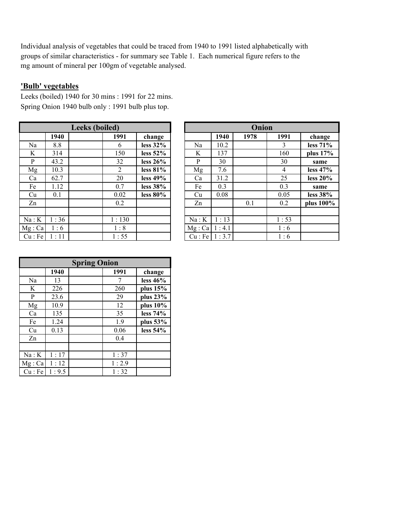Individual analysis of vegetables that could be traced from 1940 to 1991 listed alphabetically with groups of similar characteristics - for summary see Table 1. Each numerical figure refers to the mg amount of mineral per 100gm of vegetable analysed.

#### **'Bulb' vegetables**

Leeks (boiled) 1940 for 30 mins : 1991 for 22 mins. Spring Onion 1940 bulb only : 1991 bulb plus top.

|       |      | Leeks (boiled) |       |             |               |      | Onion |                |          |
|-------|------|----------------|-------|-------------|---------------|------|-------|----------------|----------|
|       | 1940 |                | 1991  | change      |               | 1940 | 1978  | 1991           | chang    |
| Na    | 8.8  |                | 6     | $less 32\%$ | Na            | 10.2 |       | 3              | less 71  |
| K     | 314  |                | 150   | less $52%$  | K             | 137  |       | 160            | plus 17  |
| P     | 43.2 |                | 32    | less $26%$  | P             | 30   |       | 30             | same     |
| Mg    | 10.3 |                | 2     | less $81%$  | Mg            | 7.6  |       | $\overline{4}$ | less 47' |
| Ca    | 62.7 |                | 20    | less 49%    | Ca            | 31.2 |       | 25             | less 20  |
| Fe    | 1.12 |                | 0.7   | less $38%$  | Fe            | 0.3  |       | 0.3            | same     |
| Cu    | 0.1  |                | 0.02  | $less 80\%$ | Cu            | 0.08 |       | 0.05           | less 38  |
| Zn    |      |                | 0.2   |             | Zn            |      | 0.1   | 0.2            | plus 100 |
|       |      |                |       |             |               |      |       |                |          |
| Na:K  | 1:36 |                | 1:130 |             | Na:K          | 1:13 |       | 1:53           |          |
| Mg:Ca | 1:6  |                | 1:8   |             | $Mg:Ca$ 1:4.1 |      |       | 1:6            |          |
| Cu:Fe | 1:11 |                | 1:55  |             | Cu: Fe 1: 3.7 |      |       | 1:6            |          |

|                 |      | Leeks (boiled) |       |             |               |      | Onion |      |            |
|-----------------|------|----------------|-------|-------------|---------------|------|-------|------|------------|
|                 | 1940 |                | 1991  | change      |               | 1940 | 1978  | 1991 | change     |
| Na              | 8.8  |                | 6     | less $32%$  | Na            | 10.2 |       | 3    | less 71%   |
| $\mathbf{K}$    | 314  |                | 150   | less $52\%$ | K             | 137  |       | 160  | plus 17%   |
| $\mathbf{P}$    | 43.2 |                | 32    | less $26%$  | P             | 30   |       | 30   | same       |
| Mg              | 10.3 |                | 2     | less $81%$  | Mg            | 7.6  |       | 4    | less $47%$ |
| Ca              | 62.7 |                | 20    | less $49%$  | Ca            | 31.2 |       | 25   | less 20%   |
| $\rm Fe$        | 1.12 |                | 0.7   | less 38%    | Fe            | 0.3  |       | 0.3  | same       |
| Cu              | 0.1  |                | 0.02  | less $80\%$ | Cu            | 0.08 |       | 0.05 | less 38%   |
| $\overline{Zn}$ |      |                | 0.2   |             | Zn            |      | 0.1   | 0.2  | plus 100%  |
|                 |      |                |       |             |               |      |       |      |            |
| a:K             | 1:36 |                | 1:130 |             | Na:K          | 1:13 |       | 1:53 |            |
| g:Ca            | 1:6  |                | 1:8   |             | Mg: Ca 1:4.1  |      |       | 1:6  |            |
| u : Fe          | 1:11 |                | 1:55  |             | $Cu:Fe$ 1:3.7 |      |       | 1:6  |            |

|       |       | <b>Spring Onion</b> |       |            |
|-------|-------|---------------------|-------|------------|
|       | 1940  |                     | 1991  | change     |
| Na    | 13    |                     | 7     | less $46%$ |
| K     | 226   |                     | 260   | plus $15%$ |
| P     | 23.6  |                     | 29    | plus 23%   |
| Mg    | 10.9  |                     | 12    | plus 10%   |
| Ca    | 135   |                     | 35    | less 74%   |
| Fe    | 1.24  |                     | 1.9   | plus $53%$ |
| Cu    | 0.13  |                     | 0.06  | less $54%$ |
| Zn    |       |                     | 0.4   |            |
|       |       |                     |       |            |
| Na:K  | 1:17  |                     | 1:37  |            |
| Mg:Ca | 1:12  |                     | 1:2.9 |            |
| Cu:Fe | 1:9.5 |                     | 1:32  |            |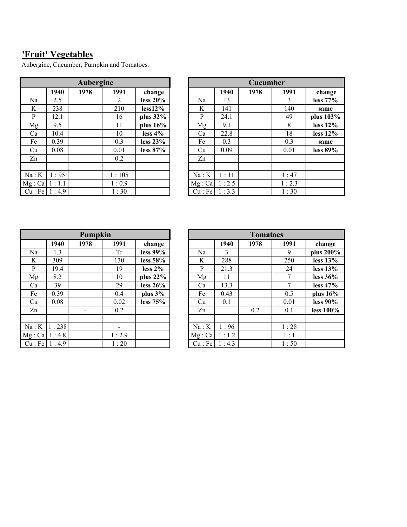# **'Fruit' Vegetables**

Aubergine, Cucumber, Pumpkin and Tomatoes.

|                           |      | Aubergine |       |             |         |       | Cucumber |       |          |
|---------------------------|------|-----------|-------|-------------|---------|-------|----------|-------|----------|
|                           | 1940 | 1978      | 1991  | change      |         | 1940  | 1978     | 1991  | chang    |
| Na                        | 2.5  |           | 2     | less 20%    | Na      | 13    |          | 3     | less 77  |
| K                         | 238  |           | 210   | $less 12\%$ | K       | 141   |          | 140   | same     |
| P                         | 12.1 |           | 16    | plus $32\%$ | P       | 24.1  |          | 49    | plus 103 |
| Mg                        | 9.5  |           | 11    | plus $16%$  | Mg      | 9.1   |          | 8     | less 12  |
| Ca                        | 10.4 |           | 10    | $less 4\%$  | Ca      | 22.8  |          | 18    | less 12  |
| Fe                        | 0.39 |           | 0.3   | less $23%$  | Fe      | 0.3   |          | 0.3   | same     |
| Cu                        | 0.08 |           | 0.01  | less $87%$  | Cu      | 0.09  |          | 0.01  | less 89  |
| Zn                        |      |           | 0.2   |             | Zn      |       |          |       |          |
|                           |      |           |       |             |         |       |          |       |          |
| Na:K                      | 1:95 |           | 1:105 |             | Na:K    | 1:11  |          | 1:47  |          |
| $Mg:Ca$ 1:1.1             |      |           | 1:0.9 |             | Mg:Ca   | 1:2.5 |          | 1:2.3 |          |
| $\vert$ Cu : Fe   1 : 4.9 |      |           | 1:30  |             | Cu : Fe | 1:3.3 |          | 1:30  |          |

|                 |       | Aubergine |                |             | Cucumber |        |      |       |             |  |  |
|-----------------|-------|-----------|----------------|-------------|----------|--------|------|-------|-------------|--|--|
|                 | 1940  | 1978      | 1991           | change      |          | 1940   | 1978 | 1991  | change      |  |  |
| Na              | 2.5   |           | $\overline{2}$ | less $20%$  | Na       | 13     |      | 3     | $less 77\%$ |  |  |
| $\mathbf{K}$    | 238   |           | 210            | $less 12\%$ | K        | 141    |      | 140   | same        |  |  |
| $\mathbf{P}$    | 12.1  |           | 16             | plus $32\%$ | P        | 24.1   |      | 49    | plus 103%   |  |  |
| Mg              | 9.5   |           | 11             | plus $16\%$ | Mg       | 9.1    |      | 8     | less $12\%$ |  |  |
| Ca              | 10.4  |           | 10             | $less 4\%$  | Ca       | 22.8   |      | 18    | less $12%$  |  |  |
| Fe              | 0.39  |           | 0.3            | less $23%$  | Fe       | 0.3    |      | 0.3   | same        |  |  |
| Cu              | 0.08  |           | 0.01           | less $87%$  | Cu       | 0.09   |      | 0.01  | less $89%$  |  |  |
| $\overline{Zn}$ |       |           | 0.2            |             | Zn       |        |      |       |             |  |  |
|                 |       |           |                |             |          |        |      |       |             |  |  |
| a:K             | 1:95  |           | 1:105          |             | Na:K     | l : 11 |      | 1:47  |             |  |  |
| g:Ca            | 1:1.1 |           | 1:0.9          |             | Mg:Ca    | 1:2.5  |      | 1:2.3 |             |  |  |
| u:Fe            | 1:4.9 |           | 1:30           |             | Cu : Fe  | 1:3.3  |      | 1:30  |             |  |  |

|       |       | Pumpkin |       |            |       |       | <b>Tomatoes</b> |      |
|-------|-------|---------|-------|------------|-------|-------|-----------------|------|
|       | 1940  | 1978    | 1991  | change     |       | 1940  | 1978            | 1991 |
| Na    | 1.3   |         | Tr    | less $99%$ | Na    | 3     |                 | 9    |
| K     | 309   |         | 130   | less $58%$ | K     | 288   |                 | 250  |
| P     | 19.4  |         | 19    | less 2%    | P     | 21.3  |                 | 24   |
| Mg    | 8.2   |         | 10    | plus 22%   | Mg    | 11    |                 | 7    |
| Ca    | 39    |         | 29    | less $26%$ | Ca    | 13.3  |                 | 7    |
| Fe    | 0.39  |         | 0.4   | plus $3\%$ | Fe    | 0.43  |                 | 0.5  |
| Cu    | 0.08  |         | 0.02  | less 75%   | Cu    | 0.1   |                 | 0.01 |
| Zn    |       |         | 0.2   |            | Zn    |       | 0.2             | 0.1  |
|       |       |         |       |            |       |       |                 |      |
| Na:K  | 1:238 |         |       |            | Na:K  | 1:96  |                 | 1:28 |
| Mg:Ca | 1:4.8 |         | 1:2.9 |            | Mg:Ca | 1:1.2 |                 | 1:1  |
| Cu:Fe | 1:4.9 |         | 1:20  |            | Cu:Fe | 1:4.3 |                 | 1:50 |

|                        |       | Pumpkin |       |            | <b>Tomatoes</b> |       |      |      |              |  |  |
|------------------------|-------|---------|-------|------------|-----------------|-------|------|------|--------------|--|--|
|                        | 1940  | 1978    | 1991  | change     |                 | 1940  | 1978 | 1991 | change       |  |  |
| Na                     | 1.3   |         | Tr    | less 99%   | Na              | 3     |      | 9    | plus 200%    |  |  |
| K                      | 309   |         | 130   | less $58%$ | K               | 288   |      | 250  | less $13%$   |  |  |
| $\mathbf{P}$           | 19.4  |         | 19    | less 2%    | P               | 21.3  |      | 24   | less 13%     |  |  |
| $\overline{\text{Mg}}$ | 8.2   |         | 10    | plus $22%$ | Mg              | 11    |      | 7    | less 36%     |  |  |
| Ca                     | 39    |         | 29    | less $26%$ | Ca              | 13.3  |      | 7    | less 47%     |  |  |
| $\rm Fe$               | 0.39  |         | 0.4   | plus $3\%$ | Fe              | 0.43  |      | 0.5  | plus $16\%$  |  |  |
| Cu                     | 0.08  |         | 0.02  | less $75%$ | Cu              | 0.1   |      | 0.01 | $less 90\%$  |  |  |
| $\overline{Zn}$        |       | -       | 0.2   |            | Zn              |       | 0.2  | 0.1  | less $100\%$ |  |  |
|                        |       |         |       |            |                 |       |      |      |              |  |  |
| a:K                    | 1:238 |         |       |            | Na:K            | 1:96  |      | 1:28 |              |  |  |
| g:Ca                   | 1:4.8 |         | 1:2.9 |            | Mg:Ca           | 1:1.2 |      | 1:1  |              |  |  |
| u:Fe                   | 1:4.9 |         | 1:20  |            | Cu:Fe           | 1:4.3 |      | 1:50 |              |  |  |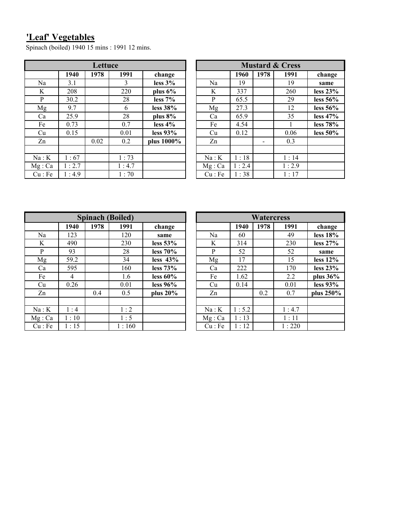#### **'Leaf' Vegetables**

Spinach (boiled) 1940 15 mins : 1991 12 mins.

|         |       | Lettuce |       |            |       |       |      | <b>Mustard &amp; Cress</b> |            |
|---------|-------|---------|-------|------------|-------|-------|------|----------------------------|------------|
|         | 1940  | 1978    | 1991  | change     |       | 1960  | 1978 | 1991                       | change     |
| Na      | 3.1   |         | 3     | less $3%$  | Na    | 19    |      | 19                         | same       |
| K       | 208   |         | 220   | plus $6\%$ | K     | 337   |      | 260                        | less 23%   |
| P       | 30.2  |         | 28    | $less 7\%$ | P     | 65.5  |      | 29                         | less 56%   |
| Mg      | 9.7   |         | 6     | less $38%$ | Mg    | 27.3  |      | 12                         | less $56%$ |
| Ca      | 25.9  |         | 28    | plus $8\%$ | Ca    | 65.9  |      | 35                         | less 47%   |
| Fe      | 0.73  |         | 0.7   | less 4%    | Fe    | 4.54  |      |                            | less 78%   |
| Cu      | 0.15  |         | 0.01  | less 93%   | Cu    | 0.12  |      | 0.06                       | less $50%$ |
| Zn      |       | 0.02    | 0.2   | plus 1000% | Zn    |       |      | 0.3                        |            |
|         |       |         |       |            |       |       |      |                            |            |
| Na:K    | 1:67  |         | 1:73  |            | Na:K  | 1:18  |      | 1:14                       |            |
| Mg:Ca   | 1:2.7 |         | 1:4.7 |            | Mg:Ca | 1:2.4 |      | 1:2.9                      |            |
| Cu : Fe | 1:4.9 |         | 1:70  |            | Cu:Fe | 1:38  |      | 1:17                       |            |

|       | Lettuce |       |            |       |       |      | <b>Mustard &amp; Cress</b> |            |
|-------|---------|-------|------------|-------|-------|------|----------------------------|------------|
| 1940  | 1978    | 1991  | change     |       | 1960  | 1978 | 1991                       | change     |
| 3.1   |         | 3     | less $3%$  | Na    | 19    |      | 19                         | same       |
| 208   |         | 220   | plus $6\%$ | K     | 337   |      | 260                        | less $23%$ |
| 30.2  |         | 28    | less 7%    | P     | 65.5  |      | 29                         | less $56%$ |
| 9.7   |         | 6     | less $38%$ | Mg    | 27.3  |      | 12                         | less $56%$ |
| 25.9  |         | 28    | plus $8\%$ | Ca    | 65.9  |      | 35                         | less $47%$ |
| 0.73  |         | 0.7   | less 4%    | Fe    | 4.54  |      |                            | less 78%   |
| 0.15  |         | 0.01  | less 93%   | Cu    | 0.12  |      | 0.06                       | less $50%$ |
|       | 0.02    | 0.2   | plus 1000% | Zn    |       |      | 0.3                        |            |
|       |         |       |            |       |       |      |                            |            |
| 1:67  |         | 1:73  |            | Na:K  | 1:18  |      | 1:14                       |            |
| : 2.7 |         | 1:4.7 |            | Mg:Ca | 1:2.4 |      | 1:2.9                      |            |
| : 4.9 |         | 1:70  |            | Cu:Fe | 1:38  |      | 1:17                       |            |

|       |      |      | <b>Spinach (Boiled)</b> |             | <b>Watercress</b> |       |      |       |             |
|-------|------|------|-------------------------|-------------|-------------------|-------|------|-------|-------------|
|       | 1940 | 1978 | 1991                    | change      |                   | 1940  | 1978 | 1991  | change      |
| Na    | 123  |      | 120                     | same        | Na                | 60    |      | 49    | less $18%$  |
| K     | 490  |      | 230                     | less $53%$  | K                 | 314   |      | 230   | less 27%    |
| P     | 93   |      | 28                      | $less 70\%$ | P                 | 52    |      | 52    | same        |
| Mg    | 59.2 |      | 34                      | less $43%$  | Mg                | 17    |      | 15    | $less 12\%$ |
| Ca    | 595  |      | 160                     | less 73%    | Ca                | 222   |      | 170   | less 23%    |
| Fe    | 4    |      | 1.6                     | less $60\%$ | Fe                | 1.62  |      | 2.2   | plus $36\%$ |
| Cu    | 0.26 |      | 0.01                    | $less 96\%$ | Cu                | 0.14  |      | 0.01  | $less 93\%$ |
| Zn    |      | 0.4  | 0.5                     | plus $20\%$ | Zn                |       | 0.2  | 0.7   | plus 250%   |
|       |      |      |                         |             |                   |       |      |       |             |
| Na:K  | 1:4  |      | 1:2                     |             | Na:K              | 1:5.2 |      | 1:4.7 |             |
| Mg:Ca | 1:10 |      | 1:5                     |             | Mg:Ca             | 1:13  |      | 1:11  |             |
| Cu:Fe | 1:15 |      | 1:160                   |             | Cu:Fe             | 1:12  |      | 1:220 |             |

|                |      | <b>Spinach (Boiled)</b> |             |       |       | <b>Watercress</b> |       |             |
|----------------|------|-------------------------|-------------|-------|-------|-------------------|-------|-------------|
| 1940           | 1978 | 1991                    | change      |       | 1940  | 1978              | 1991  | change      |
| 123            |      | 120                     | same        | Na    | 60    |                   | 49    | less $18%$  |
| 490            |      | 230                     | less $53%$  | K     | 314   |                   | 230   | less 27%    |
| 93             |      | 28                      | $less 70\%$ | P     | 52    |                   | 52    | same        |
| 59.2           |      | 34                      | less $43%$  | Mg    | 17    |                   | 15    | $less 12\%$ |
| 595            |      | 160                     | less 73%    | Ca    | 222   |                   | 170   | less $23%$  |
| $\overline{4}$ |      | 1.6                     | less $60%$  | Fe    | 1.62  |                   | 2.2   | plus $36\%$ |
| 0.26           |      | 0.01                    | less $96%$  | Cu    | 0.14  |                   | 0.01  | less 93%    |
|                | 0.4  | 0.5                     | plus $20\%$ | Zn    |       | 0.2               | 0.7   | plus 250%   |
|                |      |                         |             |       |       |                   |       |             |
| 1:4            |      | 1:2                     |             | Na:K  | 1:5.2 |                   | 1:4.7 |             |
| 1:10           |      | 1:5                     |             | Mg:Ca | 1:13  |                   | 1:11  |             |
| 1:15           |      | 1:160                   |             | Cu:Fe | 1:12  |                   | 1:220 |             |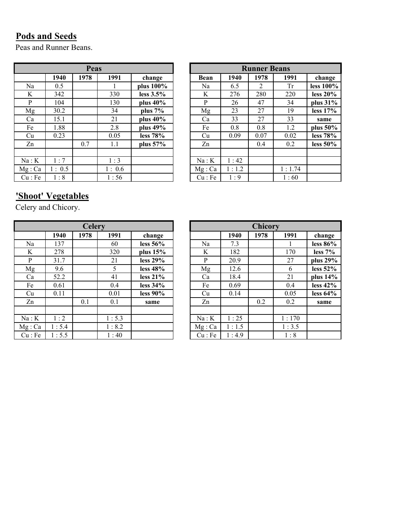### **Pods and Seeds**

Peas and Runner Beans.

|       |       | Peas |       |             |       |       | <b>Runner Beans</b> |        |             |
|-------|-------|------|-------|-------------|-------|-------|---------------------|--------|-------------|
|       | 1940  | 1978 | 1991  | change      | Bean  | 1940  | 1978                | 1991   | change      |
| Na    | 0.5   |      |       | plus 100%   | Na    | 6.5   | 2                   | Tr     | less 100%   |
| K     | 342   |      | 330   | less $3.5%$ | K     | 276   | 280                 | 220    | less 20%    |
| P     | 104   |      | 130   | plus $40\%$ | P     | 26    | 47                  | 34     | plus 31%    |
| Mg    | 30.2  |      | 34    | plus $7%$   | Mg    | 23    | 27                  | 19     | less $17%$  |
| Ca    | 15.1  |      | 21    | plus $40\%$ | Ca    | 33    | 27                  | 33     | same        |
| Fe    | 1.88  |      | 2.8   | plus $49%$  | Fe    | 0.8   | 0.8                 | 1.2    | plus 50%    |
| Cu    | 0.23  |      | 0.05  | less 78%    | Cu    | 0.09  | 0.07                | 0.02   | less 78%    |
| Zn    |       | 0.7  | 1.1   | plus $57%$  | Zn    |       | 0.4                 | 0.2    | $less 50\%$ |
|       |       |      |       |             |       |       |                     |        |             |
| Na:K  | 1:7   |      | 1:3   |             | Na:K  | 1:42  |                     |        |             |
| Mg:Ca | 1:0.5 |      | 1:0.6 |             | Mg:Ca | 1:1.2 |                     | 1:1.74 |             |
| Cu:Fe | 1:8   |      | 1:56  |             | Cu:Fe | 1:9   |                     | 1:60   |             |

|                             |       | Peas |       |              |       |       | <b>Runner Beans</b> |        |             |
|-----------------------------|-------|------|-------|--------------|-------|-------|---------------------|--------|-------------|
|                             | 1940  | 1978 | 1991  | change       | Bean  | 1940  | 1978                | 1991   | change      |
| Vа                          | 0.5   |      |       | plus 100%    | Na    | 6.5   | 2                   | Tr     | less 100%   |
| K                           | 342   |      | 330   | less $3.5\%$ | K     | 276   | 280                 | 220    | $less 20\%$ |
| P                           | 104   |      | 130   | plus $40\%$  | P     | 26    | 47                  | 34     | plus 31%    |
| /lg                         | 30.2  |      | 34    | plus 7%      | Mg    | 23    | 27                  | 19     | less $17%$  |
| $\overline{a}$              | 15.1  |      | 21    | plus $40\%$  | Ca    | 33    | 27                  | 33     | same        |
| Fe                          | 1.88  |      | 2.8   | plus 49%     | Fe    | 0.8   | 0.8                 | 1.2    | plus $50\%$ |
| $\alpha$                    | 0.23  |      | 0.05  | less 78%     | Cu    | 0.09  | 0.07                | 0.02   | less 78%    |
| $\overline{\mathbf{z}_{n}}$ |       | 0.7  | 1.1   | plus $57%$   | Zn    |       | 0.4                 | 0.2    | less $50%$  |
|                             |       |      |       |              |       |       |                     |        |             |
| $\iota:K$                   | 1:7   |      | 1:3   |              | Na:K  | 1:42  |                     |        |             |
| $\therefore$ Ca             | 1:0.5 |      | 1:0.6 |              | Mg:Ca | 1:1.2 |                     | 1:1.74 |             |
| $\iota$ : Fe                | 1:8   |      | 1:56  |              | Cu:Fe | 1:9   |                     | 1:60   |             |

### **'Shoot' Vegetables**

Celery and Chicory.

|       |       | <b>Celery</b> |       |             |       |       | <b>Chicory</b> |       |            |
|-------|-------|---------------|-------|-------------|-------|-------|----------------|-------|------------|
|       | 1940  | 1978          | 1991  | change      |       | 1940  | 1978           | 1991  | change     |
| Na    | 137   |               | 60    | less $56%$  | Na    | 7.3   |                |       | less $86%$ |
| K     | 278   |               | 320   | plus $15%$  | K     | 182   |                | 170   | less 7%    |
| P     | 31.7  |               | 21    | less $29%$  | P     | 20.9  |                | 27    | plus 29%   |
| Mg    | 9.6   |               | 5     | less $48%$  | Mg    | 12.6  |                | 6     | less 52%   |
| Ca    | 52.2  |               | 41    | less $21%$  | Ca    | 18.4  |                | 21    | plus 14%   |
| Fe    | 0.61  |               | 0.4   | less 34%    | Fe    | 0.69  |                | 0.4   | less 42%   |
| Cu    | 0.11  |               | 0.01  | less $90\%$ | Cu    | 0.14  |                | 0.05  | less $64%$ |
| Zn    |       | 0.1           | 0.1   | same        | Zn    |       | 0.2            | 0.2   | same       |
|       |       |               |       |             |       |       |                |       |            |
| Na:K  | 1:2   |               | 1:5.3 |             | Na:K  | 1:25  |                | 1:170 |            |
| Mg:Ca | 1:5.4 |               | 1:8.2 |             | Mg:Ca | 1:1.5 |                | 1:3.5 |            |
| Cu:Fe | 1:5.5 |               | 1:40  |             | Cu:Fe | 1:4.9 |                | 1:8   |            |

|                     | <b>Celery</b> |      |       |             |  |       |       | <b>Chicory</b> |       |             |
|---------------------|---------------|------|-------|-------------|--|-------|-------|----------------|-------|-------------|
|                     | 1940          | 1978 | 1991  | change      |  |       | 1940  | 1978           | 1991  | change      |
| Vа                  | 137           |      | 60    | less $56%$  |  | Na    | 7.3   |                |       | less 86%    |
| K                   | 278           |      | 320   | plus $15%$  |  | K     | 182   |                | 170   | less 7%     |
| P                   | 31.7          |      | 21    | $less 29\%$ |  | P     | 20.9  |                | 27    | plus 29%    |
| /lg                 | 9.6           |      | 5     | less 48%    |  | Mg    | 12.6  |                | 6     | less $52%$  |
| $\overline{a}$      | 52.2          |      | 41    | less 21%    |  | Ca    | 18.4  |                | 21    | plus $14\%$ |
| $\overline{e}$      | 0.61          |      | 0.4   | less $34%$  |  | Fe    | 0.69  |                | 0.4   | less $42%$  |
| $\overline{\alpha}$ | 0.11          |      | 0.01  | less $90\%$ |  | Cu    | 0.14  |                | 0.05  | less $64%$  |
| $\mathbf{z}_n$      |               | 0.1  | 0.1   | same        |  | Zn    |       | 0.2            | 0.2   | same        |
|                     |               |      |       |             |  |       |       |                |       |             |
| $\iota:K$           | 1:2           |      | 1:5.3 |             |  | Na:K  | 1:25  |                | 1:170 |             |
| $\therefore$ Ca     | 1:5.4         |      | 1:8.2 |             |  | Mg:Ca | 1:1.5 |                | 1:3.5 |             |
| $\iota$ : Fe        | 1:5.5         |      | 1:40  |             |  | Cu:Fe | 1:4.9 |                | 1:8   |             |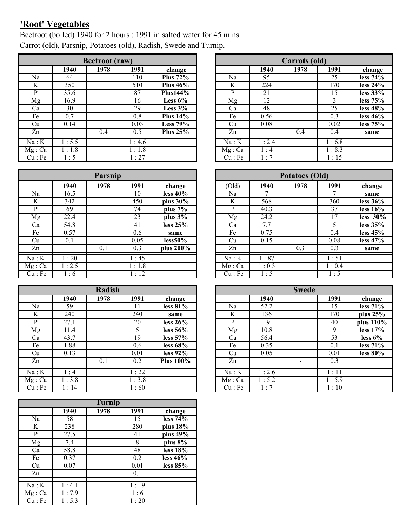### **'Root' Vegetables**

Beetroot (boiled) 1940 for 2 hours : 1991 in salted water for 45 mins. Carrot (old), Parsnip, Potatoes (old), Radish, Swede and Turnip.

|       |       | <b>Beetroot (raw)</b> |       |                 |       |       | <b>Carrots (old)</b> |                 |
|-------|-------|-----------------------|-------|-----------------|-------|-------|----------------------|-----------------|
|       | 1940  | 1978                  | 1991  | change          |       | 1940  | 1978                 | 1991            |
| Na    | 64    |                       | 110   | <b>Plus 72%</b> | Na    | 95    |                      | 25              |
| K     | 350   |                       | 510   | <b>Plus 46%</b> | K     | 224   |                      | 170             |
| P     | 35.6  |                       | 87    | <b>Plus144%</b> | P     | 21    |                      | 15              |
| Mg    | 16.9  |                       | 16    | Less $6\%$      | Mg    | 12    |                      | 3               |
| Ca    | 30    |                       | 29    | Less $3%$       | Ca    | 48    |                      | $\overline{25}$ |
| Fe    | 0.7   |                       | 0.8   | <b>Plus 14%</b> | Fe    | 0.56  |                      | 0.3             |
| Cu    | 0.14  |                       | 0.03  | <b>Less 79%</b> | Cu    | 0.08  |                      | 0.02            |
| Zn    |       | 0.4                   | 0.5   | <b>Plus 25%</b> | Zn    |       | 0.4                  | 0.4             |
| Na:K  | 1:5.5 |                       | 1:4.6 |                 | Na:K  | 1:2.4 |                      | 1:6.8           |
| Mg:Ca | 1:1.8 |                       | 1:1.8 |                 | Mg:Ca | 1:4   |                      | 1:8.3           |
| Cu:Fe | 1:5   |                       | 1:27  |                 | Cu:Fe | 1:7   |                      | 1:15            |

|       |           | <b>Parsnip</b> |          |             |       | <b>Potatoes (Old)</b> |      |       |
|-------|-----------|----------------|----------|-------------|-------|-----------------------|------|-------|
|       | 1940      | 1978           | 1991     | change      | (Old) | 1940                  | 1978 | 1991  |
| Na    | 16.5      |                | 10       | less $40%$  | Na    |                       |      |       |
| K     | 342       |                | 450      | plus 30%    | K     | 568                   |      | 360   |
| P     | 69        |                | 74       | plus $7%$   | P     | 40.3                  |      | 37    |
| Mg    | 22.4      |                | 23       | plus $3%$   | Mg    | 24.2                  |      | 17    |
| Ca    | 54.8      |                | 41       | less $25%$  | Ca    | 7.7                   |      | 5     |
| Fe    | 0.57      |                | 0.6      | same        | Fe    | 0.75                  |      | 0.4   |
| Cu    | 0.1       |                | 0.05     | $less 50\%$ | Cu    | 0.15                  |      | 0.08  |
| Zn    |           | 0.1            | 0.3      | plus 200%   | Zn    |                       | 0.3  | 0.3   |
| Na:K  | $\div 20$ |                | $\pm 45$ |             | Na:K  | 1:87                  |      | 1:51  |
| Mg:Ca | 1:2.5     |                | 1:1.8    |             | Mg:Ca | 1:0.3                 |      | 1:0.4 |
| Cu:Fe | 1:6       |                | 1:12     |             | Cu:Fe | 1:5                   |      | 1:5   |

|       |                 | <b>Radish</b> |                 |                  |       |       | <b>Swede</b> |                 |
|-------|-----------------|---------------|-----------------|------------------|-------|-------|--------------|-----------------|
|       | 1940            | 1978          | 1991            | change           |       | 1940  |              | 1991            |
| Na    | 59              |               | 11              | less $81%$       | Na    | 52.2  |              | 15              |
| K     | 240             |               | 240             | same             | K     | 136   |              | 170             |
| P     | 27.1            |               | 20              | less $26%$       | P     | 19    |              | 40              |
| Mg    | 11.4            |               | 5               | less $56%$       | Mg    | 10.8  |              | 9               |
| Ca    | 43.7            |               | 19              | less $57%$       | Ca    | 56.4  |              | $\overline{53}$ |
| Fe    | 1.88            |               | 0.6             | less $68%$       | Fe    | 0.35  |              | 0.1             |
| Cu    | 0.13            |               | 0.01            | less $92\%$      | Cu    | 0.05  |              | 0.01            |
| Zn    |                 | 0.1           | 0.2             | <b>Plus 100%</b> | Zn    |       |              | 0.3             |
| Na:K  | 1:4             |               | $\therefore$ 22 |                  | Na:K  | 1:2.6 |              | 1:11            |
| Mg:Ca | 1:3.8           |               | 1:3.8           |                  | Mg:Ca | 1:5.2 |              | 1:5.9           |
| Cu:Fe | $\therefore$ 14 |               | 1:60            |                  | Cu:Fe | 1:7   |              | 1:10            |

|       |       | <b>Turnip</b> |      |             |
|-------|-------|---------------|------|-------------|
|       | 1940  | 1978          | 1991 | change      |
| Na    | 58    |               | 15   | less 74%    |
| K     | 238   |               | 280  | plus $18\%$ |
| P     | 27.5  |               | 41   | plus 49%    |
| Mg    | 7.4   |               | 8    | plus $8\%$  |
| Ca    | 58.8  |               | 48   | less $18%$  |
| Fe    | 0.37  |               | 0.2  | less $46%$  |
| Cu    | 0.07  |               | 0.01 | less $85%$  |
| Zn    |       |               | 0.1  |             |
| Na:K  | 1:4.1 |               | 1:19 |             |
|       |       |               |      |             |
| Mg:Ca | 1:7.9 |               | 1:6  |             |
| Cu:Fe | 1:5.3 |               | 1:20 |             |

|                        |                  | <b>Beetroot (raw)</b> |                  |                 |       |       | Carrots (old) |       |            |
|------------------------|------------------|-----------------------|------------------|-----------------|-------|-------|---------------|-------|------------|
|                        | 1940             | 1978                  | 1991             | change          |       | 1940  | 1978          | 1991  | change     |
| $\overline{Na}$        | 64               |                       | 110              | <b>Plus 72%</b> | Na    | 95    |               | 25    | less $74%$ |
| K                      | 350              |                       | 510              | Plus $46%$      | K     | 224   |               | 170   | less $24%$ |
| $\overline{P}$         | 35.6             |                       | 87               | Plus144%        | P     | 21    |               | 15    | less $33%$ |
| $\overline{\text{Mg}}$ | 16.9             |                       | 16               | Less $6\%$      | Mg    | 12    |               |       | less $75%$ |
| Ca                     | 30               |                       | 29               | Less $3%$       | Ca    | 48    |               | 25    | less $48%$ |
| Fe                     | 0.7              |                       | 0.8              | <b>Plus 14%</b> | Fe    | 0.56  |               | 0.3   | less $46%$ |
| Cu                     | 0.14             |                       | 0.03             | <b>Less 79%</b> | Cu    | 0.08  |               | 0.02  | less $75%$ |
| Zn                     |                  | 0.4                   | 0.5              | Plus $25%$      | Zn    |       | 0.4           | 0.4   | same       |
| a:K                    | : 5.5            |                       | $\therefore 4.6$ |                 | Na:K  | 1:2.4 |               | 1:6.8 |            |
| g:Ca                   | $\therefore$ 1.8 |                       | :1.8             |                 | Mg:Ca | 1:4   |               | 1:8.3 |            |
| u:Fe                   | 1:5              |                       | $\therefore$ 27  |                 | Cu:Fe | 1:7   |               | 1:15  |            |

|                 |         | <b>Parsnip</b> |                 |             | <b>Potatoes (Old)</b> |       |      |       |            |  |  |
|-----------------|---------|----------------|-----------------|-------------|-----------------------|-------|------|-------|------------|--|--|
|                 | 1940    | 1978           | 1991            | change      | (Old)                 | 1940  | 1978 | 1991  | change     |  |  |
| $\overline{Na}$ | 16.5    |                | 10              | less $40%$  | Na                    | г,    |      | Л     | same       |  |  |
| $\overline{K}$  | 342     |                | 450             | plus $30\%$ | K                     | 568   |      | 360   | less $36%$ |  |  |
| $\mathbf{P}$    | 69      |                | 74              | plus $7\%$  | Þ                     | 40.3  |      | 37    | less $16%$ |  |  |
| Mg              | 22.4    |                | 23              | plus $3\%$  | Mg                    | 24.2  |      |       | less $30%$ |  |  |
| Ca              | 54.8    |                | 41              | less $25%$  | Ca                    | 7.7   |      |       | less $35%$ |  |  |
| Fe              | 0.57    |                | 0.6             | same        | Fe                    | 0.75  |      | 0.4   | less $45%$ |  |  |
| Cu              | 0.1     |                | 0.05            | $less 50\%$ | Cu                    | 0.15  |      | 0.08  | less $47%$ |  |  |
| Zn              |         | 0.1            | 0.3             | plus 200%   | Zn                    |       | 0.3  | 0.3   | same       |  |  |
| a:K             | : 20    |                | $\therefore 45$ |             | Na:K                  | 1:87  |      | 1:51  |            |  |  |
| g:Ca            | : 2.5   |                | :1.8            |             | Mg:Ca                 | 1:0.3 |      | 1:0.4 |            |  |  |
| u:Fe            | $\pm 6$ |                | $\therefore$ 12 |             | Cu:Fe                 | 1:5   |      | 1:5   |            |  |  |

|                 |                 | <b>Radish</b> |                  |                  | <b>Swede</b> |                |  |       |            |  |  |
|-----------------|-----------------|---------------|------------------|------------------|--------------|----------------|--|-------|------------|--|--|
|                 | 1940            | 1978          | 1991             | change           |              | 1940           |  | 1991  | change     |  |  |
| $\overline{Na}$ | 59              |               |                  | less $81%$       | Na           | 52.2           |  | 15    | less 71%   |  |  |
| $\overline{K}$  | 240             |               | 240              | same             | K            | 136            |  | 170   | plus 25%   |  |  |
| $\mathbf{P}$    | 27.1            |               | 20               | less $26%$       | P            | 19             |  | 40    | plus 110%  |  |  |
| Mg              | 11.4            |               |                  | less $56%$       | Mg           | 10.8           |  | 9     | less $17%$ |  |  |
| Ca              | 43.7            |               | 19               | less $57%$       | Ca           | 56.4           |  | 53    | less $6%$  |  |  |
| Fe              | .88             |               | 0.6              | less $68%$       | Fe           | 0.35           |  | 0.1   | less $71%$ |  |  |
| Cu              | 0.13            |               | 0.01             | less $92\%$      | Cu           | 0.05           |  | 0.01  | less $80%$ |  |  |
| Zn              |                 | 0.1           | 0.2              | <b>Plus 100%</b> | Zn           |                |  | 0.3   |            |  |  |
|                 |                 |               |                  |                  |              |                |  |       |            |  |  |
| a:K             | $\therefore$ 4  |               | $\therefore$ 22  |                  | Na:K         | 1:2.6          |  | 1:11  |            |  |  |
| g:Ca            | :3.8            |               | $\therefore$ 3.8 |                  | Mg:Ca        | 1:5.2          |  | 1:5.9 |            |  |  |
| u:Fe            | $\therefore$ 14 |               | $\therefore 60$  |                  | Cu:Fe        | $\therefore 7$ |  | 1:10  |            |  |  |